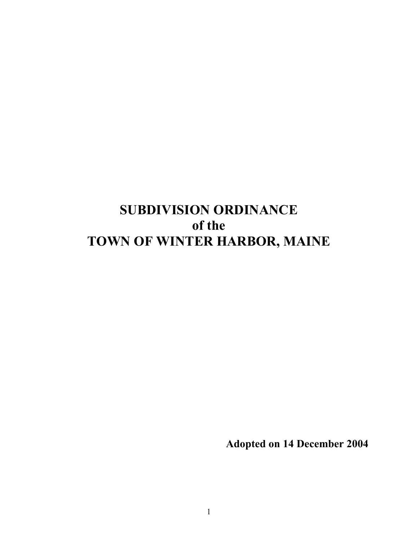# **SUBDIVISION ORDINANCE** of the TOWN OF WINTER HARBOR, MAINE

**Adopted on 14 December 2004**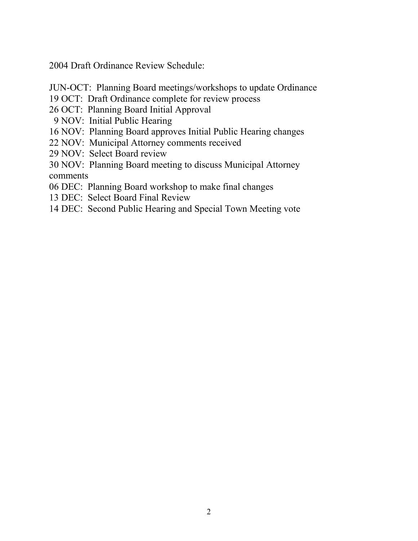2004 Draft Ordinance Review Schedule:

- JUN-OCT: Planning Board meetings/workshops to update Ordinance
- 19 OCT: Draft Ordinance complete for review process
- 26 OCT: Planning Board Initial Approval
- 9 NOV: Initial Public Hearing
- 16 NOV: Planning Board approves Initial Public Hearing changes
- 22 NOV: Municipal Attorney comments received
- 29 NOV: Select Board review
- 30 NOV: Planning Board meeting to discuss Municipal Attorney comments
- 06 DEC: Planning Board workshop to make final changes
- 13 DEC: Select Board Final Review
- 14 DEC: Second Public Hearing and Special Town Meeting vote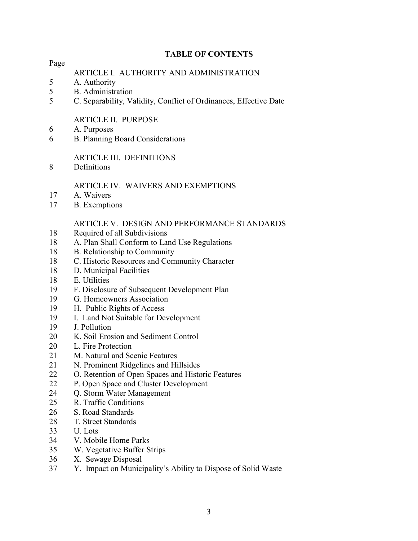## **TABLE OF CONTENTS**

Page

## ARTICLE I. AUTHORITY AND ADMINISTRATION

- 5 A. Authority
- 5 **B.** Administration
- $\overline{5}$ C. Separability, Validity, Conflict of Ordinances, Effective Date

## **ARTICLE II. PURPOSE**

- 6 A. Purposes
- 6 **B. Planning Board Considerations**

## **ARTICLE III. DEFINITIONS**

8 Definitions

## ARTICLE IV. WAIVERS AND EXEMPTIONS

- $17$ A. Waivers
- 17 **B.** Exemptions

## ARTICLE V. DESIGN AND PERFORMANCE STANDARDS

- 18 Required of all Subdivisions
- A. Plan Shall Conform to Land Use Regulations 18
- 18 B. Relationship to Community
- 18 C. Historic Resources and Community Character
- 18 D. Municipal Facilities
- 18 E. Utilities
- 19 F. Disclosure of Subsequent Development Plan
- 19 G. Homeowners Association
- 19 H. Public Rights of Access
- 19 I. Land Not Suitable for Development
- 19 J. Pollution
- $20<sup>1</sup>$ K. Soil Erosion and Sediment Control
- 20 L. Fire Protection
- 21 M. Natural and Scenic Features
- 21 N. Prominent Ridgelines and Hillsides
- 22 O. Retention of Open Spaces and Historic Features
- P. Open Space and Cluster Development 22
- **Q.** Storm Water Management 24
- 25 R. Traffic Conditions
- 26 S. Road Standards
- 28 T. Street Standards
- 33 U. Lots
- 34 V. Mobile Home Parks
- 35 W. Vegetative Buffer Strips
- 36 X. Sewage Disposal
- 37 Y. Impact on Municipality's Ability to Dispose of Solid Waste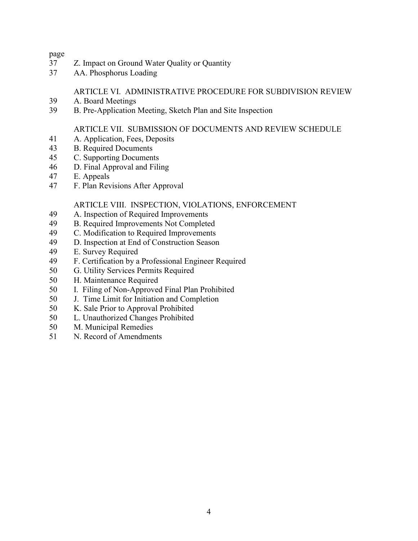#### page

- 37 Z. Impact on Ground Water Quality or Quantity
- 37 AA. Phosphorus Loading

## ARTICLE VI. ADMINISTRATIVE PROCEDURE FOR SUBDIVISION REVIEW

- 39 A. Board Meetings
- 39 B. Pre-Application Meeting, Sketch Plan and Site Inspection

## ARTICLE VII. SUBMISSION OF DOCUMENTS AND REVIEW SCHEDULE

- 41 A. Application, Fees, Deposits
- **B.** Required Documents 43
- 45 C. Supporting Documents
- 46 D. Final Approval and Filing
- 47 E. Appeals
- 47 F. Plan Revisions After Approval

## ARTICLE VIII. INSPECTION, VIOLATIONS, ENFORCEMENT

- 49 A. Inspection of Required Improvements
- 49 **B.** Required Improvements Not Completed
- C. Modification to Required Improvements 49
- 49 D. Inspection at End of Construction Season
- 49 E. Survey Required
- 49 F. Certification by a Professional Engineer Required
- 50 G. Utility Services Permits Required
- 50 H. Maintenance Required
- 50 I. Filing of Non-Approved Final Plan Prohibited
- 50 J. Time Limit for Initiation and Completion
- 50 K. Sale Prior to Approval Prohibited
- 50 L. Unauthorized Changes Prohibited
- 50 M. Municipal Remedies
- 51 N. Record of Amendments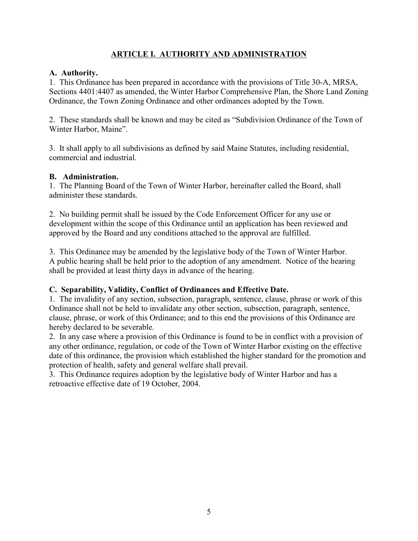# **ARTICLE I. AUTHORITY AND ADMINISTRATION**

## A. Authority.

1. This Ordinance has been prepared in accordance with the provisions of Title 30-A, MRSA, Sections 4401:4407 as amended, the Winter Harbor Comprehensive Plan, the Shore Land Zoning Ordinance, the Town Zoning Ordinance and other ordinances adopted by the Town.

2. These standards shall be known and may be cited as "Subdivision Ordinance of the Town of Winter Harbor, Maine".

3. It shall apply to all subdivisions as defined by said Maine Statures, including residential, commercial and industrial

## **B.** Administration.

1. The Planning Board of the Town of Winter Harbor, hereinafter called the Board, shall administer these standards.

2. No building permit shall be issued by the Code Enforcement Officer for any use or development within the scope of this Ordinance until an application has been reviewed and approved by the Board and any conditions attached to the approval are fulfilled.

3. This Ordinance may be amended by the legislative body of the Town of Winter Harbor. A public hearing shall be held prior to the adoption of any amendment. Notice of the hearing shall be provided at least thirty days in advance of the hearing.

# C. Separability, Validity, Conflict of Ordinances and Effective Date.

1. The invalidity of any section, subsection, paragraph, sentence, clause, phrase or work of this Ordinance shall not be held to invalidate any other section, subsection, paragraph, sentence, clause, phrase, or work of this Ordinance; and to this end the provisions of this Ordinance are hereby declared to be severable.

2. In any case where a provision of this Ordinance is found to be in conflict with a provision of any other ordinance, regulation, or code of the Town of Winter Harbor existing on the effective date of this ordinance, the provision which established the higher standard for the promotion and protection of health, safety and general welfare shall prevail.

3. This Ordinance requires adoption by the legislative body of Winter Harbor and has a retroactive effective date of 19 October, 2004.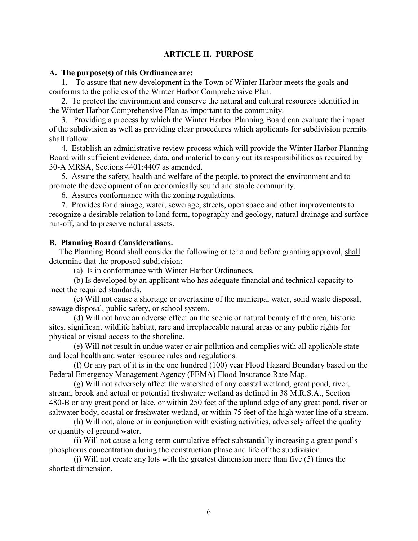## **ARTICLE II. PURPOSE**

#### A. The purpose(s) of this Ordinance are:

1. To assure that new development in the Town of Winter Harbor meets the goals and conforms to the policies of the Winter Harbor Comprehensive Plan.

2. To protect the environment and conserve the natural and cultural resources identified in the Winter Harbor Comprehensive Plan as important to the community.

3. Providing a process by which the Winter Harbor Planning Board can evaluate the impact of the subdivision as well as providing clear procedures which applicants for subdivision permits shall follow.

4. Establish an administrative review process which will provide the Winter Harbor Planning Board with sufficient evidence, data, and material to carry out its responsibilities as required by 30-A MRSA, Sections 4401:4407 as amended.

5. Assure the safety, health and welfare of the people, to protect the environment and to promote the development of an economically sound and stable community.

6. Assures conformance with the zoning regulations.

7. Provides for drainage, water, sewerage, streets, open space and other improvements to recognize a desirable relation to land form, topography and geology, natural drainage and surface run-off, and to preserve natural assets.

#### **B. Planning Board Considerations.**

The Planning Board shall consider the following criteria and before granting approval, shall determine that the proposed subdivision:

(a) Is in conformance with Winter Harbor Ordinances.

(b) Is developed by an applicant who has adequate financial and technical capacity to meet the required standards.

(c) Will not cause a shortage or overtaxing of the municipal water, solid waste disposal, sewage disposal, public safety, or school system.

(d) Will not have an adverse effect on the scenic or natural beauty of the area, historic sites, significant wildlife habitat, rare and irreplaceable natural areas or any public rights for physical or visual access to the shoreline.

(e) Will not result in undue water or air pollution and complies with all applicable state and local health and water resource rules and regulations.

(f) Or any part of it is in the one hundred (100) year Flood Hazard Boundary based on the Federal Emergency Management Agency (FEMA) Flood Insurance Rate Map.

(g) Will not adversely affect the watershed of any coastal wetland, great pond, river, stream, brook and actual or potential freshwater wetland as defined in 38 M.R.S.A., Section 480-B or any great pond or lake, or within 250 feet of the upland edge of any great pond, river or saltwater body, coastal or freshwater wetland, or within 75 feet of the high water line of a stream.

(h) Will not, alone or in conjunction with existing activities, adversely affect the quality or quantity of ground water.

(i) Will not cause a long-term cumulative effect substantially increasing a great pond's phosphorus concentration during the construction phase and life of the subdivision.

(i) Will not create any lots with the greatest dimension more than five (5) times the shortest dimension.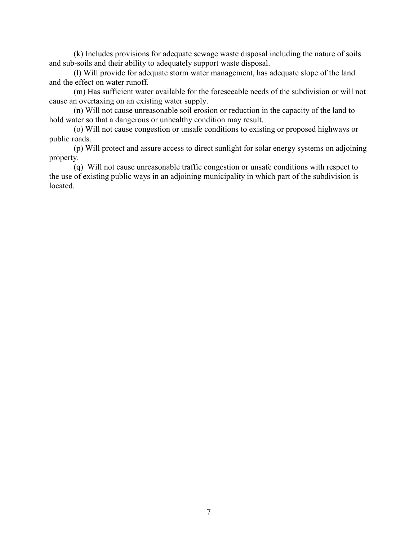(k) Includes provisions for adequate sewage waste disposal including the nature of soils and sub-soils and their ability to adequately support waste disposal.

(1) Will provide for adequate storm water management, has adequate slope of the land and the effect on water runoff.

(m) Has sufficient water available for the foreseeable needs of the subdivision or will not cause an overtaxing on an existing water supply.

(n) Will not cause unreasonable soil erosion or reduction in the capacity of the land to hold water so that a dangerous or unhealthy condition may result.

(o) Will not cause congestion or unsafe conditions to existing or proposed highways or public roads.

(p) Will protect and assure access to direct sunlight for solar energy systems on adjoining property.

(q) Will not cause unreasonable traffic congestion or unsafe conditions with respect to the use of existing public ways in an adjoining municipality in which part of the subdivision is located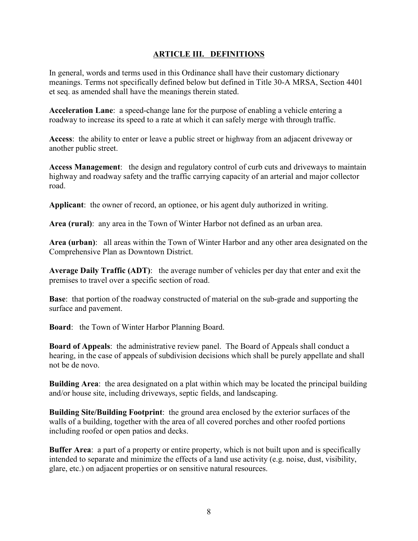## **ARTICLE III. DEFINITIONS**

In general, words and terms used in this Ordinance shall have their customary dictionary meanings. Terms not specifically defined below but defined in Title 30-A MRSA, Section 4401 et seq. as amended shall have the meanings therein stated.

**Acceleration Lane:** a speed-change lane for the purpose of enabling a vehicle entering a roadway to increase its speed to a rate at which it can safely merge with through traffic.

Access: the ability to enter or leave a public street or highway from an adjacent driveway or another public street.

**Access Management:** the design and regulatory control of curb cuts and driveways to maintain highway and roadway safety and the traffic carrying capacity of an arterial and major collector road

**Applicant:** the owner of record, an optionee, or his agent duly authorized in writing.

Area (rural): any area in the Town of Winter Harbor not defined as an urban area.

Area (urban): all areas within the Town of Winter Harbor and any other area designated on the Comprehensive Plan as Downtown District.

Average Daily Traffic (ADT): the average number of vehicles per day that enter and exit the premises to travel over a specific section of road.

**Base:** that portion of the roadway constructed of material on the sub-grade and supporting the surface and pavement.

**Board:** the Town of Winter Harbor Planning Board.

**Board of Appeals:** the administrative review panel. The Board of Appeals shall conduct a hearing, in the case of appeals of subdivision decisions which shall be purely appellate and shall not be de novo.

**Building Area:** the area designated on a plat within which may be located the principal building and/or house site, including driveways, septic fields, and landscaping.

**Building Site/Building Footprint:** the ground area enclosed by the exterior surfaces of the walls of a building, together with the area of all covered porches and other roofed portions including roofed or open patios and decks.

**Buffer Area:** a part of a property or entire property, which is not built upon and is specifically intended to separate and minimize the effects of a land use activity (e.g. noise, dust, visibility, glare, etc.) on adjacent properties or on sensitive natural resources.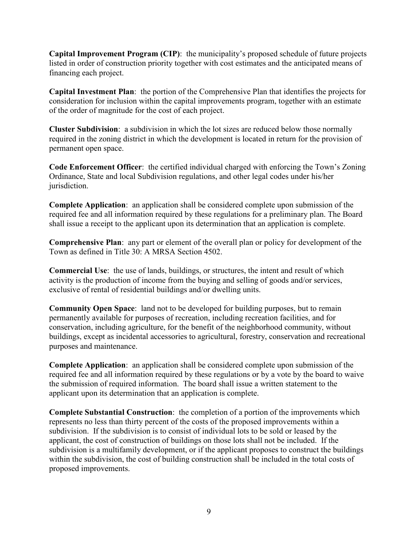**Capital Improvement Program (CIP)**: the municipality's proposed schedule of future projects listed in order of construction priority together with cost estimates and the anticipated means of financing each project.

Capital Investment Plan: the portion of the Comprehensive Plan that identifies the projects for consideration for inclusion within the capital improvements program, together with an estimate of the order of magnitude for the cost of each project.

**Cluster Subdivision:** a subdivision in which the lot sizes are reduced below those normally required in the zoning district in which the development is located in return for the provision of permanent open space.

**Code Enforcement Officer:** the certified individual charged with enforcing the Town's Zoning Ordinance, State and local Subdivision regulations, and other legal codes under his/her jurisdiction.

**Complete Application:** an application shall be considered complete upon submission of the required fee and all information required by these regulations for a preliminary plan. The Board shall issue a receipt to the applicant upon its determination that an application is complete.

**Comprehensive Plan:** any part or element of the overall plan or policy for development of the Town as defined in Title 30: A MRSA Section 4502.

**Commercial Use:** the use of lands, buildings, or structures, the intent and result of which activity is the production of income from the buying and selling of goods and/or services, exclusive of rental of residential buildings and/or dwelling units.

**Community Open Space:** land not to be developed for building purposes, but to remain permanently available for purposes of recreation, including recreation facilities, and for conservation, including agriculture, for the benefit of the neighborhood community, without buildings, except as incidental accessories to agricultural, forestry, conservation and recreational purposes and maintenance.

**Complete Application:** an application shall be considered complete upon submission of the required fee and all information required by these regulations or by a vote by the board to waive the submission of required information. The board shall issue a written statement to the applicant upon its determination that an application is complete.

**Complete Substantial Construction:** the completion of a portion of the improvements which represents no less than thirty percent of the costs of the proposed improvements within a subdivision. If the subdivision is to consist of individual lots to be sold or leased by the applicant, the cost of construction of buildings on those lots shall not be included. If the subdivision is a multifamily development, or if the applicant proposes to construct the buildings within the subdivision, the cost of building construction shall be included in the total costs of proposed improvements.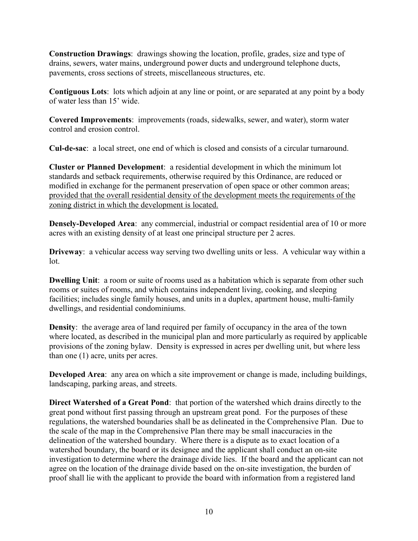**Construction Drawings:** drawings showing the location, profile, grades, size and type of drains, sewers, water mains, underground power ducts and underground telephone ducts, pavements, cross sections of streets, miscellaneous structures, etc.

**Contiguous Lots**: lots which adjoin at any line or point, or are separated at any point by a body of water less than 15' wide.

Covered Improvements: improvements (roads, sidewalks, sewer, and water), storm water control and erosion control.

**Cul-de-sac**: a local street, one end of which is closed and consists of a circular turnaround.

**Cluster or Planned Development:** a residential development in which the minimum lot standards and setback requirements, otherwise required by this Ordinance, are reduced or modified in exchange for the permanent preservation of open space or other common areas; provided that the overall residential density of the development meets the requirements of the zoning district in which the development is located.

**Densely-Developed Area:** any commercial, industrial or compact residential area of 10 or more acres with an existing density of at least one principal structure per 2 acres.

**Driveway**: a vehicular access way serving two dwelling units or less. A vehicular way within a  $1$ ot

**Dwelling Unit:** a room or suite of rooms used as a habitation which is separate from other such rooms or suites of rooms, and which contains independent living, cooking, and sleeping facilities; includes single family houses, and units in a duplex, apartment house, multi-family dwellings, and residential condominiums.

**Density:** the average area of land required per family of occupancy in the area of the town where located, as described in the municipal plan and more particularly as required by applicable provisions of the zoning bylaw. Density is expressed in acres per dwelling unit, but where less than one  $(1)$  acre, units per acres.

**Developed Area:** any area on which a site improvement or change is made, including buildings, landscaping, parking areas, and streets.

**Direct Watershed of a Great Pond:** that portion of the watershed which drains directly to the great pond without first passing through an upstream great pond. For the purposes of these regulations, the watershed boundaries shall be as delineated in the Comprehensive Plan. Due to the scale of the map in the Comprehensive Plan there may be small inaccuracies in the delineation of the watershed boundary. Where there is a dispute as to exact location of a watershed boundary, the board or its designee and the applicant shall conduct an on-site investigation to determine where the drainage divide lies. If the board and the applicant can not agree on the location of the drainage divide based on the on-site investigation, the burden of proof shall lie with the applicant to provide the board with information from a registered land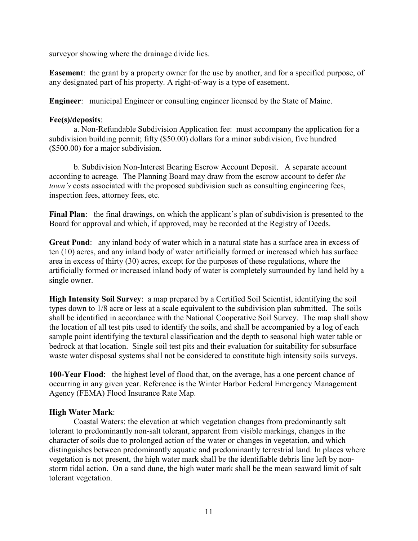surveyor showing where the drainage divide lies.

**Easement**: the grant by a property owner for the use by another, and for a specified purpose, of any designated part of his property. A right-of-way is a type of easement.

**Engineer:** municipal Engineer or consulting engineer licensed by the State of Maine.

## Fee(s)/deposits:

a. Non-Refundable Subdivision Application fee: must accompany the application for a subdivision building permit; fifty (\$50.00) dollars for a minor subdivision, five hundred  $($500.00)$  for a major subdivision.

b. Subdivision Non-Interest Bearing Escrow Account Deposit. A separate account according to acreage. The Planning Board may draw from the escrow account to defer the town's costs associated with the proposed subdivision such as consulting engineering fees, inspection fees, attorney fees, etc.

Final Plan: the final drawings, on which the applicant's plan of subdivision is presented to the Board for approval and which, if approved, may be recorded at the Registry of Deeds.

Great Pond: any inland body of water which in a natural state has a surface area in excess of ten (10) acres, and any inland body of water artificially formed or increased which has surface area in excess of thirty (30) acres, except for the purposes of these regulations, where the artificially formed or increased inland body of water is completely surrounded by land held by a single owner.

**High Intensity Soil Survey:** a map prepared by a Certified Soil Scientist, identifying the soil types down to 1/8 acre or less at a scale equivalent to the subdivision plan submitted. The soils shall be identified in accordance with the National Cooperative Soil Survey. The map shall show the location of all test pits used to identify the soils, and shall be accompanied by a log of each sample point identifying the textural classification and the depth to seasonal high water table or bedrock at that location. Single soil test pits and their evaluation for suitability for subsurface waste water disposal systems shall not be considered to constitute high intensity soils surveys.

**100-Year Flood:** the highest level of flood that, on the average, has a one percent chance of occurring in any given year. Reference is the Winter Harbor Federal Emergency Management Agency (FEMA) Flood Insurance Rate Map.

# **High Water Mark:**

Coastal Waters: the elevation at which vegetation changes from predominantly salt tolerant to predominantly non-salt tolerant, apparent from visible markings, changes in the character of soils due to prolonged action of the water or changes in vegetation, and which distinguishes between predominantly aquatic and predominantly terrestrial land. In places where vegetation is not present, the high water mark shall be the identifiable debris line left by nonstorm tidal action. On a sand dune, the high water mark shall be the mean seaward limit of salt tolerant vegetation.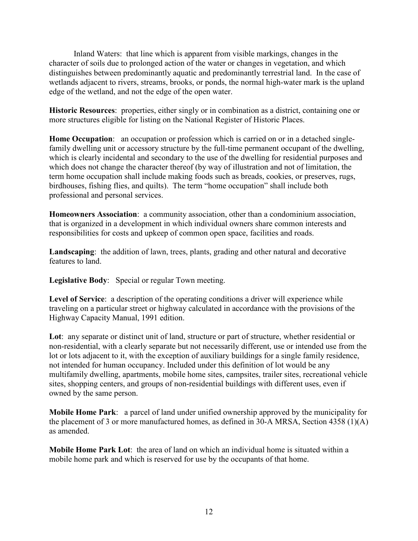Inland Waters: that line which is apparent from visible markings, changes in the character of soils due to prolonged action of the water or changes in vegetation, and which distinguishes between predominantly aquatic and predominantly terrestrial land. In the case of wetlands adjacent to rivers, streams, brooks, or ponds, the normal high-water mark is the upland edge of the wetland, and not the edge of the open water.

**Historic Resources:** properties, either singly or in combination as a district, containing one or more structures eligible for listing on the National Register of Historic Places.

Home Occupation: an occupation or profession which is carried on or in a detached singlefamily dwelling unit or accessory structure by the full-time permanent occupant of the dwelling. which is clearly incidental and secondary to the use of the dwelling for residential purposes and which does not change the character thereof (by way of illustration and not of limitation, the term home occupation shall include making foods such as breads, cookies, or preserves, rugs, birdhouses, fishing flies, and quilts). The term "home occupation" shall include both professional and personal services.

Homeowners Association: a community association, other than a condominium association, that is organized in a development in which individual owners share common interests and responsibilities for costs and upkeep of common open space, facilities and roads.

Landscaping: the addition of lawn, trees, plants, grading and other natural and decorative features to land

Legislative Body: Special or regular Town meeting.

**Level of Service:** a description of the operating conditions a driver will experience while traveling on a particular street or highway calculated in accordance with the provisions of the Highway Capacity Manual, 1991 edition.

Lot: any separate or distinct unit of land, structure or part of structure, whether residential or non-residential, with a clearly separate but not necessarily different, use or intended use from the lot or lots adjacent to it, with the exception of auxiliary buildings for a single family residence, not intended for human occupancy. Included under this definition of lot would be any multifamily dwelling, apartments, mobile home sites, campsites, trailer sites, recreational vehicle sites, shopping centers, and groups of non-residential buildings with different uses, even if owned by the same person.

**Mobile Home Park:** a parcel of land under unified ownership approved by the municipality for the placement of 3 or more manufactured homes, as defined in 30-A MRSA, Section 4358 (1)(A) as amended

**Mobile Home Park Lot:** the area of land on which an individual home is situated within a mobile home park and which is reserved for use by the occupants of that home.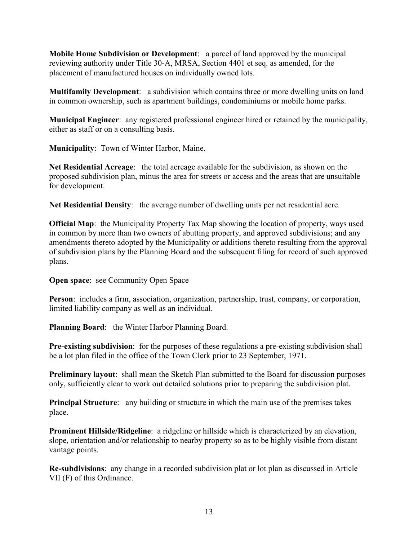Mobile Home Subdivision or Development: a parcel of land approved by the municipal reviewing authority under Title 30-A, MRSA, Section 4401 et seq. as amended, for the placement of manufactured houses on individually owned lots.

Multifamily Development: a subdivision which contains three or more dwelling units on land in common ownership, such as apartment buildings, condominiums or mobile home parks.

**Municipal Engineer**: any registered professional engineer hired or retained by the municipality, either as staff or on a consulting basis.

**Municipality:** Town of Winter Harbor, Maine.

Net Residential Acreage: the total acreage available for the subdivision, as shown on the proposed subdivision plan, minus the area for streets or access and the areas that are unsuitable for development.

Net Residential Density: the average number of dwelling units per net residential acre.

**Official Map:** the Municipality Property Tax Map showing the location of property, ways used in common by more than two owners of abutting property, and approved subdivisions; and any amendments thereto adopted by the Municipality or additions thereto resulting from the approval of subdivision plans by the Planning Board and the subsequent filing for record of such approved plans.

**Open space:** see Community Open Space

**Person**: includes a firm, association, organization, partnership, trust, company, or corporation, limited liability company as well as an individual.

Planning Board: the Winter Harbor Planning Board.

**Pre-existing subdivision:** for the purposes of these regulations a pre-existing subdivision shall be a lot plan filed in the office of the Town Clerk prior to 23 September, 1971.

**Preliminary layout:** shall mean the Sketch Plan submitted to the Board for discussion purposes only, sufficiently clear to work out detailed solutions prior to preparing the subdivision plat.

**Principal Structure**: any building or structure in which the main use of the premises takes place.

**Prominent Hillside/Ridgeline:** a ridgeline or hillside which is characterized by an elevation, slope, orientation and/or relationship to nearby property so as to be highly visible from distant vantage points.

Re-subdivisions: any change in a recorded subdivision plat or lot plan as discussed in Article VII (F) of this Ordinance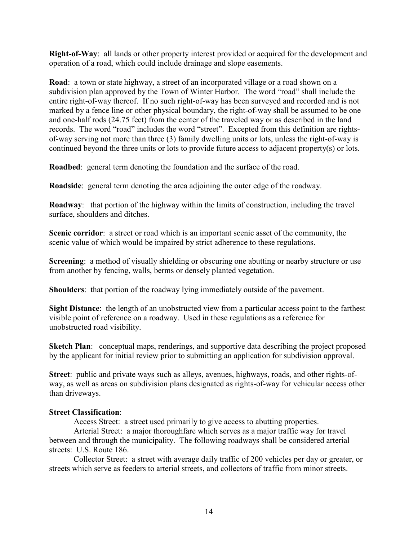**Right-of-Way:** all lands or other property interest provided or acquired for the development and operation of a road, which could include drainage and slope easements.

**Road:** a town or state highway, a street of an incorporated village or a road shown on a subdivision plan approved by the Town of Winter Harbor. The word "road" shall include the entire right-of-way thereof. If no such right-of-way has been surveyed and recorded and is not marked by a fence line or other physical boundary, the right-of-way shall be assumed to be one and one-half rods (24.75 feet) from the center of the traveled way or as described in the land records. The word "road" includes the word "street". Excepted from this definition are rightsof-way serving not more than three (3) family dwelling units or lots, unless the right-of-way is continued beyond the three units or lots to provide future access to adjacent property( $s$ ) or lots.

**Roadbed:** general term denoting the foundation and the surface of the road.

**Roadside**: general term denoting the area adjoining the outer edge of the roadway.

**Roadway:** that portion of the highway within the limits of construction, including the travel surface, shoulders and ditches.

Scenic corridor: a street or road which is an important scenic asset of the community, the scenic value of which would be impaired by strict adherence to these regulations.

**Screening:** a method of visually shielding or obscuring one abutting or nearby structure or use from another by fencing, walls, berms or densely planted vegetation.

**Shoulders:** that portion of the roadway lying immediately outside of the pavement.

**Sight Distance:** the length of an unobstructed view from a particular access point to the farthest visible point of reference on a roadway. Used in these regulations as a reference for unobstructed road visibility.

**Sketch Plan:** conceptual maps, renderings, and supportive data describing the project proposed by the applicant for initial review prior to submitting an application for subdivision approval.

Street: public and private ways such as alleys, avenues, highways, roads, and other rights-ofway, as well as areas on subdivision plans designated as rights-of-way for vehicular access other than driveways.

#### **Street Classification:**

Access Street: a street used primarily to give access to abutting properties.

Arterial Street: a major thoroughfare which serves as a major traffic way for travel between and through the municipality. The following roadways shall be considered arterial streets: U.S. Route 186.

Collector Street: a street with average daily traffic of 200 vehicles per day or greater, or streets which serve as feeders to arterial streets, and collectors of traffic from minor streets.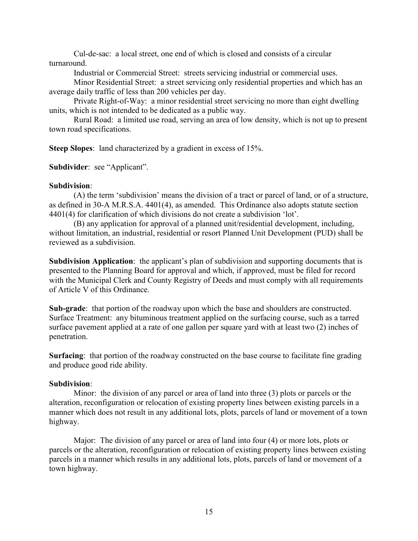Cul-de-sac: a local street, one end of which is closed and consists of a circular turnaround

Industrial or Commercial Street: streets servicing industrial or commercial uses.

Minor Residential Street: a street servicing only residential properties and which has an average daily traffic of less than 200 vehicles per day.

Private Right-of-Way: a minor residential street servicing no more than eight dwelling units, which is not intended to be dedicated as a public way.

Rural Road: a limited use road, serving an area of low density, which is not up to present town road specifications.

**Steep Slopes:** land characterized by a gradient in excess of 15%.

Subdivider: see "Applicant".

#### Subdivision:

(A) the term 'subdivision' means the division of a tract or parcel of land, or of a structure, as defined in 30-A M.R.S.A. 4401(4), as amended. This Ordinance also adopts statute section 4401(4) for clarification of which divisions do not create a subdivision 'lot'.

(B) any application for approval of a planned unit/residential development, including, without limitation, an industrial, residential or resort Planned Unit Development (PUD) shall be reviewed as a subdivision

**Subdivision Application:** the applicant's plan of subdivision and supporting documents that is presented to the Planning Board for approval and which, if approved, must be filed for record with the Municipal Clerk and County Registry of Deeds and must comply with all requirements of Article V of this Ordinance

**Sub-grade:** that portion of the roadway upon which the base and shoulders are constructed. Surface Treatment: any bituminous treatment applied on the surfacing course, such as a tarred surface pavement applied at a rate of one gallon per square yard with at least two (2) inches of penetration.

**Surfacing:** that portion of the roadway constructed on the base course to facilitate fine grading and produce good ride ability.

#### Subdivision:

Minor: the division of any parcel or area of land into three  $(3)$  plots or parcels or the alteration, reconfiguration or relocation of existing property lines between existing parcels in a manner which does not result in any additional lots, plots, parcels of land or movement of a town highway.

Major: The division of any parcel or area of land into four (4) or more lots, plots or parcels or the alteration, reconfiguration or relocation of existing property lines between existing parcels in a manner which results in any additional lots, plots, parcels of land or movement of a town highway.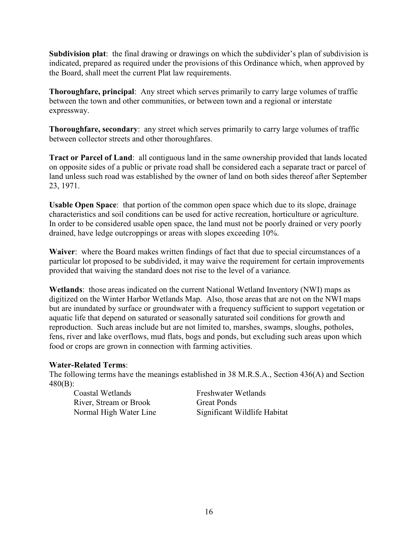**Subdivision plat**: the final drawing or drawings on which the subdivider's plan of subdivision is indicated, prepared as required under the provisions of this Ordinance which, when approved by the Board, shall meet the current Plat law requirements.

**Thoroughfare, principal:** Any street which serves primarily to carry large volumes of traffic between the town and other communities, or between town and a regional or interstate expressway.

Thoroughfare, secondary: any street which serves primarily to carry large volumes of traffic between collector streets and other thoroughfares.

Tract or Parcel of Land: all contiguous land in the same ownership provided that lands located on opposite sides of a public or private road shall be considered each a separate tract or parcel of land unless such road was established by the owner of land on both sides thereof after September 23, 1971.

**Usable Open Space:** that portion of the common open space which due to its slope, drainage characteristics and soil conditions can be used for active recreation, horticulture or agriculture. In order to be considered usable open space, the land must not be poorly drained or very poorly drained, have ledge outcroppings or areas with slopes exceeding 10%.

Waiver: where the Board makes written findings of fact that due to special circumstances of a particular lot proposed to be subdivided, it may waive the requirement for certain improvements provided that waiving the standard does not rise to the level of a variance.

Wetlands: those areas indicated on the current National Wetland Inventory (NWI) maps as digitized on the Winter Harbor Wetlands Map. Also, those areas that are not on the NWI maps but are inundated by surface or groundwater with a frequency sufficient to support vegetation or aquatic life that depend on saturated or seasonally saturated soil conditions for growth and reproduction. Such areas include but are not limited to, marshes, swamps, sloughs, potholes, fens, river and lake overflows, mud flats, bogs and ponds, but excluding such areas upon which food or crops are grown in connection with farming activities.

## **Water-Related Terms:**

The following terms have the meanings established in 38 M.R.S.A., Section 436(A) and Section  $480(B)$ :

Coastal Wetlands River, Stream or Brook Normal High Water Line Freshwater Wetlands **Great Ponds** Significant Wildlife Habitat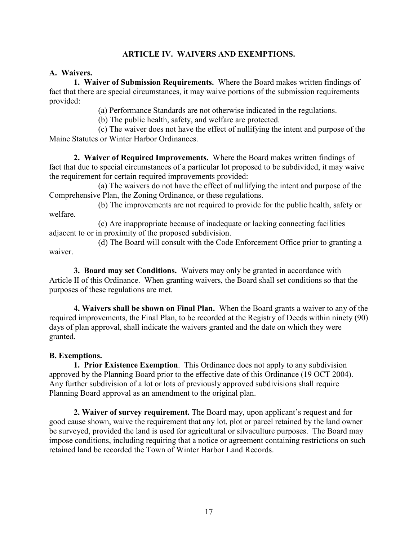# **ARTICLE IV. WAIVERS AND EXEMPTIONS.**

## A. Waivers.

1. Waiver of Submission Requirements. Where the Board makes written findings of fact that there are special circumstances, it may waive portions of the submission requirements provided:

(a) Performance Standards are not otherwise indicated in the regulations.

(b) The public health, safety, and welfare are protected.

(c) The waiver does not have the effect of nullifying the intent and purpose of the Maine Statutes or Winter Harbor Ordinances.

2. Waiver of Required Improvements. Where the Board makes written findings of fact that due to special circumstances of a particular lot proposed to be subdivided, it may waive the requirement for certain required improvements provided:

(a) The waivers do not have the effect of nullifying the intent and purpose of the Comprehensive Plan, the Zoning Ordinance, or these regulations.

(b) The improvements are not required to provide for the public health, safety or welfare.

(c) Are inappropriate because of inadequate or lacking connecting facilities adjacent to or in proximity of the proposed subdivision.

(d) The Board will consult with the Code Enforcement Office prior to granting a waiver.

3. Board may set Conditions. Waivers may only be granted in accordance with Article II of this Ordinance. When granting waivers, the Board shall set conditions so that the purposes of these regulations are met.

4. Waivers shall be shown on Final Plan. When the Board grants a waiver to any of the required improvements, the Final Plan, to be recorded at the Registry of Deeds within ninety (90) days of plan approval, shall indicate the waivers granted and the date on which they were granted.

## **B.** Exemptions.

1. Prior Existence Exemption. This Ordinance does not apply to any subdivision approved by the Planning Board prior to the effective date of this Ordinance (19 OCT 2004). Any further subdivision of a lot or lots of previously approved subdivisions shall require Planning Board approval as an amendment to the original plan.

2. Waiver of survey requirement. The Board may, upon applicant's request and for good cause shown, waive the requirement that any lot, plot or parcel retained by the land owner be surveyed, provided the land is used for agricultural or silvaculture purposes. The Board may impose conditions, including requiring that a notice or agreement containing restrictions on such retained land be recorded the Town of Winter Harbor Land Records.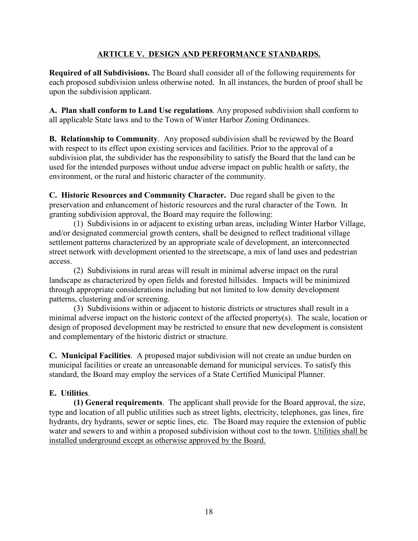## ARTICLE V. DESIGN AND PERFORMANCE STANDARDS.

**Required of all Subdivisions.** The Board shall consider all of the following requirements for each proposed subdivision unless otherwise noted. In all instances, the burden of proof shall be upon the subdivision applicant.

A. Plan shall conform to Land Use regulations. Any proposed subdivision shall conform to all applicable State laws and to the Town of Winter Harbor Zoning Ordinances.

**B.** Relationship to Community. Any proposed subdivision shall be reviewed by the Board with respect to its effect upon existing services and facilities. Prior to the approval of a subdivision plat, the subdivider has the responsibility to satisfy the Board that the land can be used for the intended purposes without undue adverse impact on public health or safety, the environment, or the rural and historic character of the community.

C. Historic Resources and Community Character. Due regard shall be given to the preservation and enhancement of historic resources and the rural character of the Town. In granting subdivision approval, the Board may require the following:

(1) Subdivisions in or adjacent to existing urban areas, including Winter Harbor Village, and/or designated commercial growth centers, shall be designed to reflect traditional village settlement patterns characterized by an appropriate scale of development, an interconnected street network with development oriented to the streetscape, a mix of land uses and pedestrian access

(2) Subdivisions in rural areas will result in minimal adverse impact on the rural landscape as characterized by open fields and forested hillsides. Impacts will be minimized through appropriate considerations including but not limited to low density development patterns, clustering and/or screening.

(3) Subdivisions within or adjacent to historic districts or structures shall result in a minimal adverse impact on the historic context of the affected property(s). The scale, location or design of proposed development may be restricted to ensure that new development is consistent and complementary of the historic district or structure.

C. Municipal Facilities. A proposed major subdivision will not create an undue burden on municipal facilities or create an unreasonable demand for municipal services. To satisfy this standard, the Board may employ the services of a State Certified Municipal Planner.

# E. Utilities

(1) General requirements. The applicant shall provide for the Board approval, the size, type and location of all public utilities such as street lights, electricity, telephones, gas lines, fire hydrants, dry hydrants, sewer or septic lines, etc. The Board may require the extension of public water and sewers to and within a proposed subdivision without cost to the town. Utilities shall be installed underground except as otherwise approved by the Board.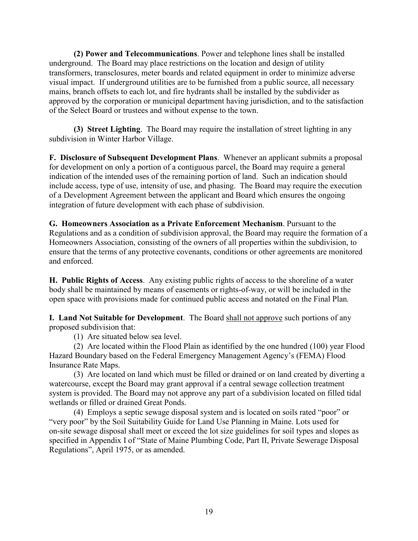(2) Power and Telecommunications. Power and telephone lines shall be installed underground. The Board may place restrictions on the location and design of utility transformers, transclosures, meter boards and related equipment in order to minimize adverse visual impact. If underground utilities are to be furnished from a public source, all necessary mains, branch offsets to each lot, and fire hydrants shall be installed by the subdivider as approved by the corporation or municipal department having jurisdiction, and to the satisfaction of the Select Board or trustees and without expense to the town.

(3) Street Lighting. The Board may require the installation of street lighting in any subdivision in Winter Harbor Village.

F. Disclosure of Subsequent Development Plans. Whenever an applicant submits a proposal for development on only a portion of a contiguous parcel, the Board may require a general indication of the intended uses of the remaining portion of land. Such an indication should include access, type of use, intensity of use, and phasing. The Board may require the execution of a Development Agreement between the applicant and Board which ensures the ongoing integration of future development with each phase of subdivision.

G. Homeowners Association as a Private Enforcement Mechanism. Pursuant to the Regulations and as a condition of subdivision approval, the Board may require the formation of a Homeowners Association, consisting of the owners of all properties within the subdivision, to ensure that the terms of any protective covenants, conditions or other agreements are monitored and enforced.

H. Public Rights of Access. Any existing public rights of access to the shoreline of a water body shall be maintained by means of easements or rights-of-way, or will be included in the open space with provisions made for continued public access and notated on the Final Plan.

**I. Land Not Suitable for Development**. The Board shall not approve such portions of any proposed subdivision that:

(1) Are situated below sea level.

(2) Are located within the Flood Plain as identified by the one hundred (100) year Flood Hazard Boundary based on the Federal Emergency Management Agency's (FEMA) Flood Insurance Rate Maps.

(3) Are located on land which must be filled or drained or on land created by diverting a watercourse, except the Board may grant approval if a central sewage collection treatment system is provided. The Board may not approve any part of a subdivision located on filled tidal wetlands or filled or drained Great Ponds.

(4) Employs a septic sewage disposal system and is located on soils rated "poor" or "very poor" by the Soil Suitability Guide for Land Use Planning in Maine. Lots used for on-site sewage disposal shall meet or exceed the lot size guidelines for soil types and slopes as specified in Appendix I of "State of Maine Plumbing Code, Part II, Private Sewerage Disposal Regulations", April 1975, or as amended.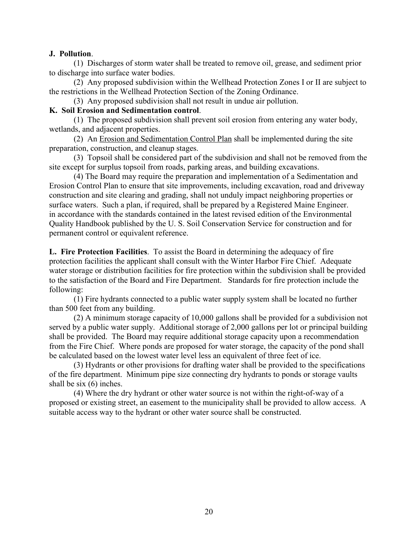#### J. Pollution.

(1) Discharges of storm water shall be treated to remove oil, grease, and sediment prior to discharge into surface water bodies.

(2) Any proposed subdivision within the Wellhead Protection Zones I or II are subject to the restrictions in the Wellhead Protection Section of the Zoning Ordinance.

(3) Any proposed subdivision shall not result in undue air pollution.

#### K. Soil Erosion and Sedimentation control.

(1) The proposed subdivision shall prevent soil erosion from entering any water body, wetlands, and adjacent properties.

(2) An Erosion and Sedimentation Control Plan shall be implemented during the site preparation, construction, and cleanup stages.

(3) Topsoil shall be considered part of the subdivision and shall not be removed from the site except for surplus topsoil from roads, parking areas, and building excavations.

(4) The Board may require the preparation and implementation of a Sedimentation and Erosion Control Plan to ensure that site improvements, including excavation, road and driveway construction and site clearing and grading, shall not unduly impact neighboring properties or surface waters. Such a plan, if required, shall be prepared by a Registered Maine Engineer. in accordance with the standards contained in the latest revised edition of the Environmental Quality Handbook published by the U.S. Soil Conservation Service for construction and for permanent control or equivalent reference.

L. Fire Protection Facilities. To assist the Board in determining the adequacy of fire protection facilities the applicant shall consult with the Winter Harbor Fire Chief. Adequate water storage or distribution facilities for fire protection within the subdivision shall be provided to the satisfaction of the Board and Fire Department. Standards for fire protection include the following:

(1) Fire hydrants connected to a public water supply system shall be located no further than 500 feet from any building.

(2) A minimum storage capacity of 10,000 gallons shall be provided for a subdivision not served by a public water supply. Additional storage of 2,000 gallons per lot or principal building shall be provided. The Board may require additional storage capacity upon a recommendation from the Fire Chief. Where ponds are proposed for water storage, the capacity of the pond shall be calculated based on the lowest water level less an equivalent of three feet of ice.

(3) Hydrants or other provisions for drafting water shall be provided to the specifications of the fire department. Minimum pipe size connecting dry hydrants to ponds or storage vaults shall be six  $(6)$  inches.

(4) Where the dry hydrant or other water source is not within the right-of-way of a proposed or existing street, an easement to the municipality shall be provided to allow access. A suitable access way to the hydrant or other water source shall be constructed.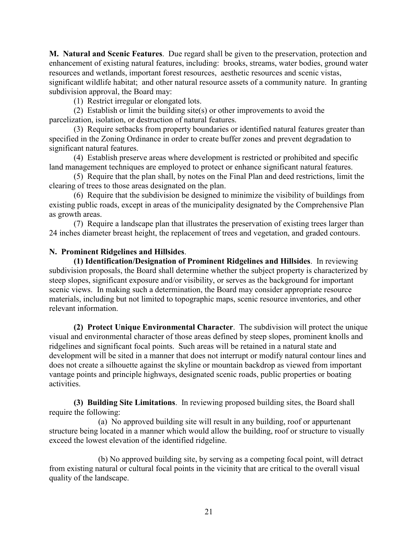M. Natural and Scenic Features. Due regard shall be given to the preservation, protection and enhancement of existing natural features, including: brooks, streams, water bodies, ground water resources and wetlands, important forest resources, aesthetic resources and scenic vistas, significant wildlife habitat; and other natural resource assets of a community nature. In granting subdivision approval, the Board may:

(1) Restrict irregular or elongated lots.

(2) Establish or limit the building site(s) or other improvements to avoid the parcelization, isolation, or destruction of natural features.

(3) Require setbacks from property boundaries or identified natural features greater than specified in the Zoning Ordinance in order to create buffer zones and prevent degradation to significant natural features.

(4) Establish preserve areas where development is restricted or prohibited and specific land management techniques are employed to protect or enhance significant natural features.

(5) Require that the plan shall, by notes on the Final Plan and deed restrictions, limit the clearing of trees to those areas designated on the plan.

(6) Require that the subdivision be designed to minimize the visibility of buildings from existing public roads, except in areas of the municipality designated by the Comprehensive Plan as growth areas.

(7) Require a landscape plan that illustrates the preservation of existing trees larger than 24 inches diameter breast height, the replacement of trees and vegetation, and graded contours.

## N. Prominent Ridgelines and Hillsides.

(1) Identification/Designation of Prominent Ridgelines and Hillsides. In reviewing subdivision proposals, the Board shall determine whether the subject property is characterized by steep slopes, significant exposure and/or visibility, or serves as the background for important scenic views. In making such a determination, the Board may consider appropriate resource materials, including but not limited to topographic maps, scenic resource inventories, and other relevant information.

(2) Protect Unique Environmental Character. The subdivision will protect the unique visual and environmental character of those areas defined by steep slopes, prominent knolls and ridgelines and significant focal points. Such areas will be retained in a natural state and development will be sited in a manner that does not interrupt or modify natural contour lines and does not create a silhouette against the skyline or mountain backdrop as viewed from important vantage points and principle highways, designated scenic roads, public properties or boating activities.

(3) Building Site Limitations. In reviewing proposed building sites, the Board shall require the following:

(a) No approved building site will result in any building, roof or appurtenant structure being located in a manner which would allow the building, roof or structure to visually exceed the lowest elevation of the identified ridgeline.

(b) No approved building site, by serving as a competing focal point, will detract from existing natural or cultural focal points in the vicinity that are critical to the overall visual quality of the landscape.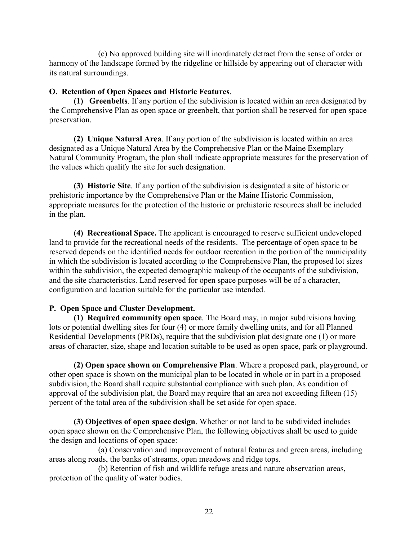(c) No approved building site will inordinately detract from the sense of order or harmony of the landscape formed by the ridgeline or hillside by appearing out of character with its natural surroundings.

## O. Retention of Open Spaces and Historic Features.

(1) Greenbelts. If any portion of the subdivision is located within an area designated by the Comprehensive Plan as open space or greenbelt, that portion shall be reserved for open space preservation.

(2) Unique Natural Area. If any portion of the subdivision is located within an area designated as a Unique Natural Area by the Comprehensive Plan or the Maine Exemplary Natural Community Program, the plan shall indicate appropriate measures for the preservation of the values which qualify the site for such designation.

(3) Historic Site. If any portion of the subdivision is designated a site of historic or prehistoric importance by the Comprehensive Plan or the Maine Historic Commission, appropriate measures for the protection of the historic or prehistoric resources shall be included in the plan.

(4) Recreational Space. The applicant is encouraged to reserve sufficient undeveloped land to provide for the recreational needs of the residents. The percentage of open space to be reserved depends on the identified needs for outdoor recreation in the portion of the municipality in which the subdivision is located according to the Comprehensive Plan, the proposed lot sizes within the subdivision, the expected demographic makeup of the occupants of the subdivision, and the site characteristics. Land reserved for open space purposes will be of a character, configuration and location suitable for the particular use intended.

## P. Open Space and Cluster Development.

(1) Required community open space. The Board may, in major subdivisions having lots or potential dwelling sites for four (4) or more family dwelling units, and for all Planned Residential Developments (PRDs), require that the subdivision plat designate one (1) or more areas of character, size, shape and location suitable to be used as open space, park or playground.

(2) Open space shown on Comprehensive Plan. Where a proposed park, playground, or other open space is shown on the municipal plan to be located in whole or in part in a proposed subdivision, the Board shall require substantial compliance with such plan. As condition of approval of the subdivision plat, the Board may require that an area not exceeding fifteen (15) percent of the total area of the subdivision shall be set aside for open space.

(3) Objectives of open space design. Whether or not land to be subdivided includes open space shown on the Comprehensive Plan, the following objectives shall be used to guide the design and locations of open space:

(a) Conservation and improvement of natural features and green areas, including areas along roads, the banks of streams, open meadows and ridge tops.

(b) Retention of fish and wildlife refuge areas and nature observation areas, protection of the quality of water bodies.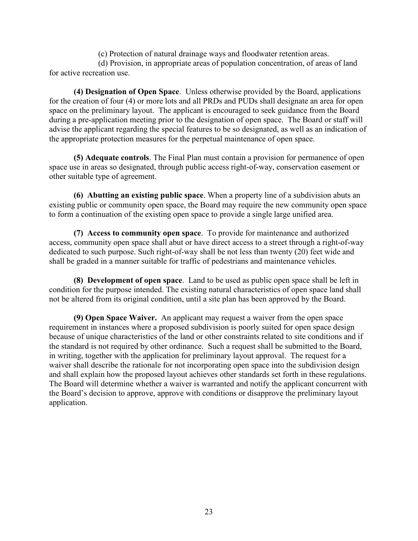(c) Protection of natural drainage ways and floodwater retention areas.

(d) Provision, in appropriate areas of population concentration, of areas of land for active recreation use.

(4) Designation of Open Space. Unless otherwise provided by the Board, applications for the creation of four (4) or more lots and all PRDs and PUDs shall designate an area for open space on the preliminary layout. The applicant is encouraged to seek guidance from the Board during a pre-application meeting prior to the designation of open space. The Board or staff will advise the applicant regarding the special features to be so designated, as well as an indication of the appropriate protection measures for the perpetual maintenance of open space.

(5) Adequate controls. The Final Plan must contain a provision for permanence of open space use in areas so designated, through public access right-of-way, conservation easement or other suitable type of agreement.

(6) Abutting an existing public space. When a property line of a subdivision abuts an existing public or community open space, the Board may require the new community open space to form a continuation of the existing open space to provide a single large unified area.

(7) Access to community open space. To provide for maintenance and authorized access, community open space shall abut or have direct access to a street through a right-of-way dedicated to such purpose. Such right-of-way shall be not less than twenty (20) feet wide and shall be graded in a manner suitable for traffic of pedestrians and maintenance vehicles.

(8) Development of open space. Land to be used as public open space shall be left in condition for the purpose intended. The existing natural characteristics of open space land shall not be altered from its original condition, until a site plan has been approved by the Board.

(9) Open Space Waiver. An applicant may request a waiver from the open space requirement in instances where a proposed subdivision is poorly suited for open space design because of unique characteristics of the land or other constraints related to site conditions and if the standard is not required by other ordinance. Such a request shall be submitted to the Board, in writing, together with the application for preliminary layout approval. The request for a waiver shall describe the rationale for not incorporating open space into the subdivision design and shall explain how the proposed layout achieves other standards set forth in these regulations. The Board will determine whether a waiver is warranted and notify the applicant concurrent with the Board's decision to approve, approve with conditions or disapprove the preliminary layout application.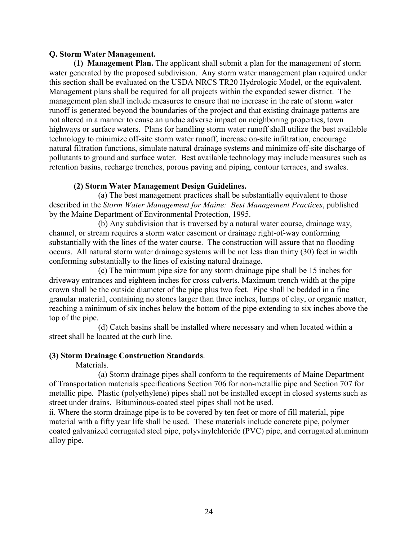#### Q. Storm Water Management.

(1) Management Plan. The applicant shall submit a plan for the management of storm water generated by the proposed subdivision. Any storm water management plan required under this section shall be evaluated on the USDA NRCS TR20 Hydrologic Model, or the equivalent. Management plans shall be required for all projects within the expanded sewer district. The management plan shall include measures to ensure that no increase in the rate of storm water runoff is generated beyond the boundaries of the project and that existing drainage patterns are not altered in a manner to cause an undue adverse impact on neighboring properties, town highways or surface waters. Plans for handling storm water runoff shall utilize the best available technology to minimize off-site storm water runoff, increase on-site infiltration, encourage natural filtration functions, simulate natural drainage systems and minimize off-site discharge of pollutants to ground and surface water. Best available technology may include measures such as retention basins, recharge trenches, porous paving and piping, contour terraces, and swales.

## (2) Storm Water Management Design Guidelines.

(a) The best management practices shall be substantially equivalent to those described in the Storm Water Management for Maine: Best Management Practices, published by the Maine Department of Environmental Protection, 1995.

(b) Any subdivision that is traversed by a natural water course, drainage way, channel, or stream requires a storm water easement or drainage right-of-way conforming substantially with the lines of the water course. The construction will assure that no flooding occurs. All natural storm water drainage systems will be not less than thirty (30) feet in width conforming substantially to the lines of existing natural drainage.

(c) The minimum pipe size for any storm drainage pipe shall be 15 inches for driveway entrances and eighteen inches for cross culverts. Maximum trench width at the pipe crown shall be the outside diameter of the pipe plus two feet. Pipe shall be bedded in a fine granular material, containing no stones larger than three inches, lumps of clay, or organic matter, reaching a minimum of six inches below the bottom of the pipe extending to six inches above the top of the pipe.

(d) Catch basins shall be installed where necessary and when located within a street shall be located at the curb line.

#### (3) Storm Drainage Construction Standards.

Materials.

(a) Storm drainage pipes shall conform to the requirements of Maine Department of Transportation materials specifications Section 706 for non-metallic pipe and Section 707 for metallic pipe. Plastic (polyethylene) pipes shall not be installed except in closed systems such as street under drains. Bituminous-coated steel pipes shall not be used.

ii. Where the storm drainage pipe is to be covered by ten feet or more of fill material, pipe material with a fifty year life shall be used. These materials include concrete pipe, polymer coated galvanized corrugated steel pipe, polyvinylchloride (PVC) pipe, and corrugated aluminum alloy pipe.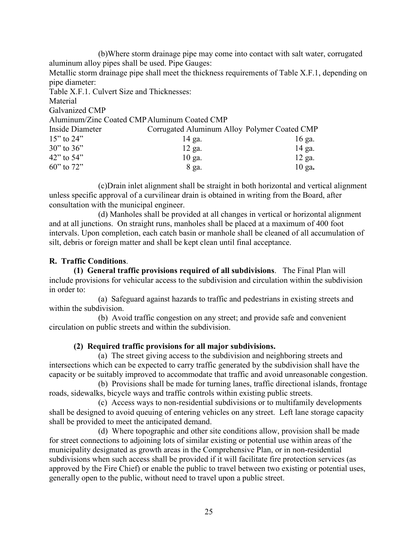(b)Where storm drainage pipe may come into contact with salt water, corrugated aluminum alloy pipes shall be used. Pipe Gauges: Metallic storm drainage pipe shall meet the thickness requirements of Table X.F.1, depending on pipe diameter: Table X.F.1. Culvert Size and Thicknesses: Material Galvanized CMP Aluminum/Zinc Coated CMP Aluminum Coated CMP Corrugated Aluminum Alloy Polymer Coated CMP Inside Diameter  $15"$  to  $24"$ 14 ga.  $16$  ga.  $30"$  to  $36"$  $12$  ga. 14 ga.  $42$ " to  $54$ "  $10$  ga.  $12$  ga. 60" to 72" 8 ga.  $10$  ga.

(c) Drain inlet alignment shall be straight in both horizontal and vertical alignment unless specific approval of a curvilinear drain is obtained in writing from the Board, after consultation with the municipal engineer.

(d) Manholes shall be provided at all changes in vertical or horizontal alignment and at all junctions. On straight runs, manholes shall be placed at a maximum of 400 foot intervals. Upon completion, each catch basin or manhole shall be cleaned of all accumulation of silt, debris or foreign matter and shall be kept clean until final acceptance.

## R. Traffic Conditions.

(1) General traffic provisions required of all subdivisions. The Final Plan will include provisions for vehicular access to the subdivision and circulation within the subdivision in order to:

(a) Safeguard against hazards to traffic and pedestrians in existing streets and within the subdivision.

(b) Avoid traffic congestion on any street; and provide safe and convenient circulation on public streets and within the subdivision.

## (2) Required traffic provisions for all major subdivisions.

(a) The street giving access to the subdivision and neighboring streets and intersections which can be expected to carry traffic generated by the subdivision shall have the capacity or be suitably improved to accommodate that traffic and avoid unreasonable congestion.

(b) Provisions shall be made for turning lanes, traffic directional islands, frontage roads, sidewalks, bicycle ways and traffic controls within existing public streets.

(c) Access ways to non-residential subdivisions or to multifamily developments shall be designed to avoid queuing of entering vehicles on any street. Left lane storage capacity shall be provided to meet the anticipated demand.

(d) Where topographic and other site conditions allow, provision shall be made for street connections to adjoining lots of similar existing or potential use within areas of the municipality designated as growth areas in the Comprehensive Plan, or in non-residential subdivisions when such access shall be provided if it will facilitate fire protection services (as approved by the Fire Chief) or enable the public to travel between two existing or potential uses, generally open to the public, without need to travel upon a public street.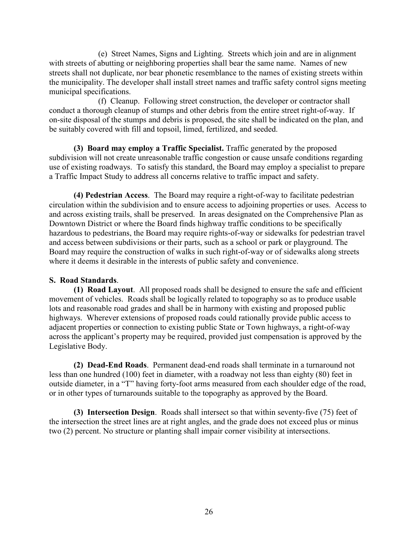(e) Street Names, Signs and Lighting. Streets which join and are in alignment with streets of abutting or neighboring properties shall bear the same name. Names of new streets shall not duplicate, nor bear phonetic resemblance to the names of existing streets within the municipality. The developer shall install street names and traffic safety control signs meeting municipal specifications.

(f) Cleanup. Following street construction, the developer or contractor shall conduct a thorough cleanup of stumps and other debris from the entire street right-of-way. If on-site disposal of the stumps and debris is proposed, the site shall be indicated on the plan, and be suitably covered with fill and topsoil, limed, fertilized, and seeded.

(3) Board may employ a Traffic Specialist. Traffic generated by the proposed subdivision will not create unreasonable traffic congestion or cause unsafe conditions regarding use of existing roadways. To satisfy this standard, the Board may employ a specialist to prepare a Traffic Impact Study to address all concerns relative to traffic impact and safety.

(4) Pedestrian Access. The Board may require a right-of-way to facilitate pedestrian circulation within the subdivision and to ensure access to adjoining properties or uses. Access to and across existing trails, shall be preserved. In areas designated on the Comprehensive Plan as Downtown District or where the Board finds highway traffic conditions to be specifically hazardous to pedestrians, the Board may require rights-of-way or sidewalks for pedestrian travel and access between subdivisions or their parts, such as a school or park or playground. The Board may require the construction of walks in such right-of-way or of sidewalks along streets where it deems it desirable in the interests of public safety and convenience.

## S. Road Standards.

(1) Road Layout. All proposed roads shall be designed to ensure the safe and efficient movement of vehicles. Roads shall be logically related to topography so as to produce usable lots and reasonable road grades and shall be in harmony with existing and proposed public highways. Wherever extensions of proposed roads could rationally provide public access to adjacent properties or connection to existing public State or Town highways, a right-of-way across the applicant's property may be required, provided just compensation is approved by the Legislative Body.

(2) Dead-End Roads. Permanent dead-end roads shall terminate in a turnaround not less than one hundred (100) feet in diameter, with a roadway not less than eighty (80) feet in outside diameter, in a "T" having forty-foot arms measured from each shoulder edge of the road, or in other types of turnarounds suitable to the topography as approved by the Board.

(3) Intersection Design. Roads shall intersect so that within seventy-five (75) feet of the intersection the street lines are at right angles, and the grade does not exceed plus or minus two (2) percent. No structure or planting shall impair corner visibility at intersections.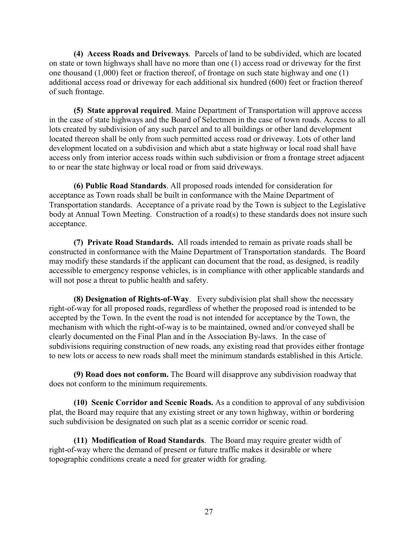(4) Access Roads and Driveways. Parcels of land to be subdivided, which are located on state or town highways shall have no more than one (1) access road or driveway for the first one thousand  $(1,000)$  feet or fraction thereof, of frontage on such state highway and one  $(1)$ additional access road or driveway for each additional six hundred (600) feet or fraction thereof of such frontage.

(5) State approval required. Maine Department of Transportation will approve access in the case of state highways and the Board of Selectmen in the case of town roads. Access to all lots created by subdivision of any such parcel and to all buildings or other land development located thereon shall be only from such permitted access road or driveway. Lots of other land development located on a subdivision and which abut a state highway or local road shall have access only from interior access roads within such subdivision or from a frontage street adjacent to or near the state highway or local road or from said driveways.

(6) Public Road Standards. All proposed roads intended for consideration for acceptance as Town roads shall be built in conformance with the Maine Department of Transportation standards. Acceptance of a private road by the Town is subject to the Legislative body at Annual Town Meeting. Construction of a road(s) to these standards does not insure such acceptance.

(7) Private Road Standards. All roads intended to remain as private roads shall be constructed in conformance with the Maine Department of Transportation standards. The Board may modify these standards if the applicant can document that the road, as designed, is readily accessible to emergency response vehicles, is in compliance with other applicable standards and will not pose a threat to public health and safety.

(8) Designation of Rights-of-Way. Every subdivision plat shall show the necessary right-of-way for all proposed roads, regardless of whether the proposed road is intended to be accepted by the Town. In the event the road is not intended for acceptance by the Town, the mechanism with which the right-of-way is to be maintained, owned and/or conveyed shall be clearly documented on the Final Plan and in the Association By-laws. In the case of subdivisions requiring construction of new roads, any existing road that provides either frontage to new lots or access to new roads shall meet the minimum standards established in this Article

(9) Road does not conform. The Board will disapprove any subdivision roadway that does not conform to the minimum requirements.

(10) Scenic Corridor and Scenic Roads. As a condition to approval of any subdivision plat, the Board may require that any existing street or any town highway, within or bordering such subdivision be designated on such plat as a scenic corridor or scenic road.

(11) Modification of Road Standards. The Board may require greater width of right-of-way where the demand of present or future traffic makes it desirable or where topographic conditions create a need for greater width for grading.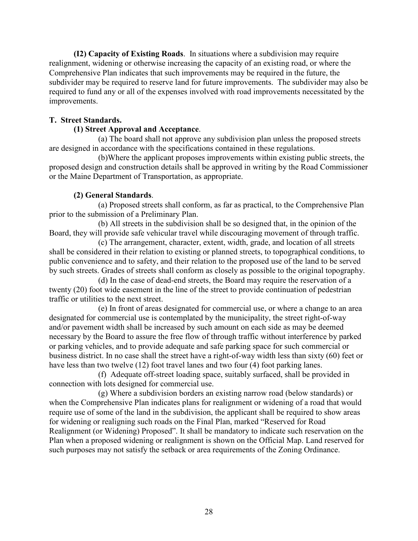(12) Capacity of Existing Roads. In situations where a subdivision may require realignment, widening or otherwise increasing the capacity of an existing road, or where the Comprehensive Plan indicates that such improvements may be required in the future, the subdivider may be required to reserve land for future improvements. The subdivider may also be required to fund any or all of the expenses involved with road improvements necessitated by the improvements.

## **T. Street Standards.**

## (1) Street Approval and Acceptance.

(a) The board shall not approve any subdivision plan unless the proposed streets are designed in accordance with the specifications contained in these regulations.

(b) Where the applicant proposes improvements within existing public streets, the proposed design and construction details shall be approved in writing by the Road Commissioner or the Maine Department of Transportation, as appropriate.

## (2) General Standards.

(a) Proposed streets shall conform, as far as practical, to the Comprehensive Plan prior to the submission of a Preliminary Plan.

(b) All streets in the subdivision shall be so designed that, in the opinion of the Board, they will provide safe vehicular travel while discouraging movement of through traffic.

(c) The arrangement, character, extent, width, grade, and location of all streets shall be considered in their relation to existing or planned streets, to topographical conditions, to public convenience and to safety, and their relation to the proposed use of the land to be served by such streets. Grades of streets shall conform as closely as possible to the original topography.

(d) In the case of dead-end streets, the Board may require the reservation of a twenty (20) foot wide easement in the line of the street to provide continuation of pedestrian traffic or utilities to the next street.

(e) In front of areas designated for commercial use, or where a change to an area designated for commercial use is contemplated by the municipality, the street right-of-way and/or pavement width shall be increased by such amount on each side as may be deemed necessary by the Board to assure the free flow of through traffic without interference by parked or parking vehicles, and to provide adequate and safe parking space for such commercial or business district. In no case shall the street have a right-of-way width less than sixty (60) feet or have less than two twelve (12) foot travel lanes and two four (4) foot parking lanes.

(f) Adequate off-street loading space, suitably surfaced, shall be provided in connection with lots designed for commercial use.

(g) Where a subdivision borders an existing narrow road (below standards) or when the Comprehensive Plan indicates plans for realignment or widening of a road that would require use of some of the land in the subdivision, the applicant shall be required to show areas for widening or realigning such roads on the Final Plan, marked "Reserved for Road" Realignment (or Widening) Proposed". It shall be mandatory to indicate such reservation on the Plan when a proposed widening or realignment is shown on the Official Map. Land reserved for such purposes may not satisfy the setback or area requirements of the Zoning Ordinance.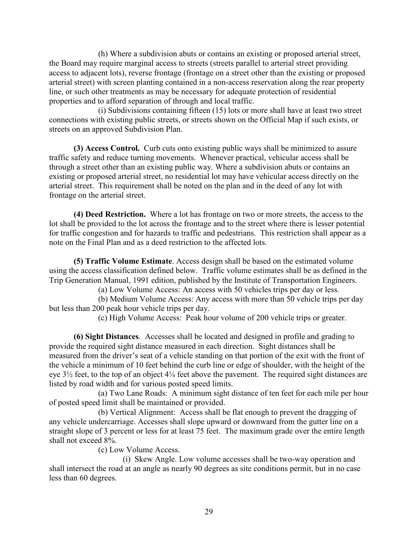(h) Where a subdivision abuts or contains an existing or proposed arterial street, the Board may require marginal access to streets (streets parallel to arterial street providing access to adjacent lots), reverse frontage (frontage on a street other than the existing or proposed arterial street) with screen planting contained in a non-access reservation along the rear property line, or such other treatments as may be necessary for adequate protection of residential properties and to afford separation of through and local traffic.

(i) Subdivisions containing fifteen (15) lots or more shall have at least two street connections with existing public streets, or streets shown on the Official Map if such exists, or streets on an approved Subdivision Plan.

(3) Access Control. Curb cuts onto existing public ways shall be minimized to assure traffic safety and reduce turning movements. Whenever practical, vehicular access shall be through a street other than an existing public way. Where a subdivision abuts or contains an existing or proposed arterial street, no residential lot may have vehicular access directly on the arterial street. This requirement shall be noted on the plan and in the deed of any lot with frontage on the arterial street.

(4) Deed Restriction. Where a lot has frontage on two or more streets, the access to the lot shall be provided to the lot across the frontage and to the street where there is lesser potential for traffic congestion and for hazards to traffic and pedestrians. This restriction shall appear as a note on the Final Plan and as a deed restriction to the affected lots

(5) Traffic Volume Estimate. Access design shall be based on the estimated volume using the access classification defined below. Traffic volume estimates shall be as defined in the Trip Generation Manual, 1991 edition, published by the Institute of Transportation Engineers.

(a) Low Volume Access: An access with 50 vehicles trips per day or less.

(b) Medium Volume Access: Any access with more than 50 vehicle trips per day but less than 200 peak hour vehicle trips per day.

(c) High Volume Access: Peak hour volume of 200 vehicle trips or greater.

(6) Sight Distances. Accesses shall be located and designed in profile and grading to provide the required sight distance measured in each direction. Sight distances shall be measured from the driver's seat of a vehicle standing on that portion of the exit with the front of the vehicle a minimum of 10 feet behind the curb line or edge of shoulder, with the height of the eye  $3\frac{1}{2}$  feet, to the top of an object  $4\frac{1}{4}$  feet above the pavement. The required sight distances are listed by road width and for various posted speed limits.

(a) Two Lane Roads: A minimum sight distance of ten feet for each mile per hour of posted speed limit shall be maintained or provided.

(b) Vertical Alignment: Access shall be flat enough to prevent the dragging of any vehicle undercarriage. Accesses shall slope upward or downward from the gutter line on a straight slope of 3 percent or less for at least 75 feet. The maximum grade over the entire length shall not exceed 8%.

(c) Low Volume Access.

(i) Skew Angle. Low volume accesses shall be two-way operation and shall intersect the road at an angle as nearly 90 degrees as site conditions permit, but in no case less than 60 degrees.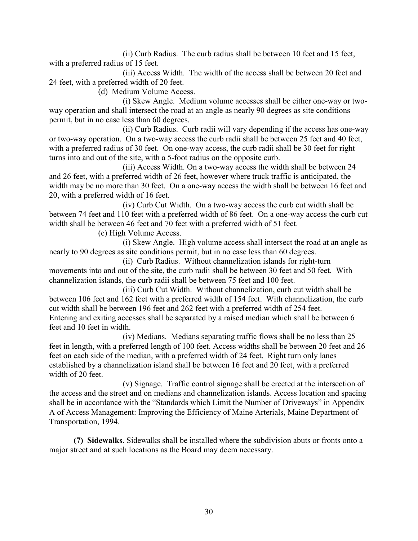(ii) Curb Radius. The curb radius shall be between 10 feet and 15 feet. with a preferred radius of 15 feet.

(iii) Access Width. The width of the access shall be between 20 feet and 24 feet, with a preferred width of 20 feet.

(d) Medium Volume Access.

(i) Skew Angle. Medium volume accesses shall be either one-way or twoway operation and shall intersect the road at an angle as nearly 90 degrees as site conditions permit, but in no case less than 60 degrees.

(ii) Curb Radius. Curb radii will vary depending if the access has one-way or two-way operation. On a two-way access the curb radii shall be between 25 feet and 40 feet, with a preferred radius of 30 feet. On one-way access, the curb radii shall be 30 feet for right turns into and out of the site, with a 5-foot radius on the opposite curb.

(iii) Access Width. On a two-way access the width shall be between 24 and 26 feet, with a preferred width of 26 feet, however where truck traffic is anticipated, the width may be no more than 30 feet. On a one-way access the width shall be between 16 feet and 20, with a preferred width of 16 feet.

(iv) Curb Cut Width. On a two-way access the curb cut width shall be between 74 feet and 110 feet with a preferred width of 86 feet. On a one-way access the curb cut width shall be between 46 feet and 70 feet with a preferred width of 51 feet.

(e) High Volume Access.

(i) Skew Angle. High volume access shall intersect the road at an angle as nearly to 90 degrees as site conditions permit, but in no case less than 60 degrees.

(ii) Curb Radius. Without channelization islands for right-turn movements into and out of the site, the curb radii shall be between 30 feet and 50 feet. With channelization islands, the curb radii shall be between 75 feet and 100 feet.

(iii) Curb Cut Width. Without channelization, curb cut width shall be between 106 feet and 162 feet with a preferred width of 154 feet. With channelization, the curb cut width shall be between 196 feet and 262 feet with a preferred width of 254 feet. Entering and exiting accesses shall be separated by a raised median which shall be between 6 feet and 10 feet in width.

(iv) Medians. Medians separating traffic flows shall be no less than 25 feet in length, with a preferred length of 100 feet. Access widths shall be between 20 feet and 26 feet on each side of the median, with a preferred width of 24 feet. Right turn only lanes established by a channelization island shall be between 16 feet and 20 feet, with a preferred width of 20 feet.

(v) Signage. Traffic control signage shall be erected at the intersection of the access and the street and on medians and channelization islands. Access location and spacing shall be in accordance with the "Standards which Limit the Number of Driveways" in Appendix A of Access Management: Improving the Efficiency of Maine Arterials, Maine Department of Transportation, 1994.

(7) Sidewalks. Sidewalks shall be installed where the subdivision abuts or fronts onto a major street and at such locations as the Board may deem necessary.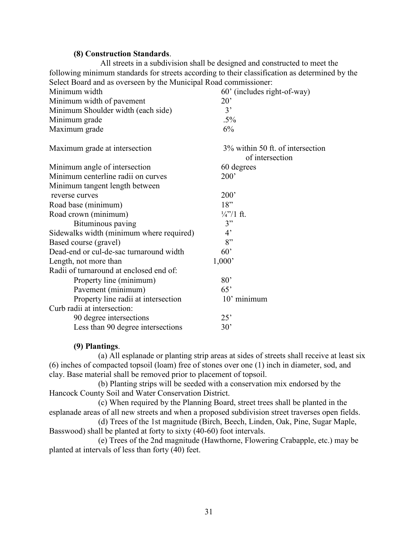#### (8) Construction Standards.

All streets in a subdivision shall be designed and constructed to meet the following minimum standards for streets according to their classification as determined by the Select Board and as overseen by the Municipal Road commissioner:

| Minimum width                            | 60' (includes right-of-way)                         |
|------------------------------------------|-----------------------------------------------------|
| Minimum width of pavement                | $20^{\circ}$                                        |
| Minimum Shoulder width (each side)       | 3'                                                  |
| Minimum grade                            | $.5\%$                                              |
| Maximum grade                            | 6%                                                  |
| Maximum grade at intersection            | 3% within 50 ft. of intersection<br>of intersection |
| Minimum angle of intersection            | 60 degrees                                          |
| Minimum centerline radii on curves       | 200'                                                |
| Minimum tangent length between           |                                                     |
| reverse curves                           | 200'                                                |
| Road base (minimum)                      | 18"                                                 |
| Road crown (minimum)                     | $\frac{1}{4}$ '/1 ft.                               |
| Bituminous paving                        | 3"                                                  |
| Sidewalks width (minimum where required) | $4^{\circ}$                                         |
| Based course (gravel)                    | 8"                                                  |
| Dead-end or cul-de-sac turnaround width  | 60'                                                 |
| Length, not more than                    | 1,000'                                              |
| Radii of turnaround at enclosed end of:  |                                                     |
| Property line (minimum)                  | 80'                                                 |
| Pavement (minimum)                       | 65'                                                 |
| Property line radii at intersection      | 10' minimum                                         |
| Curb radii at intersection:              |                                                     |
| 90 degree intersections                  | 25'                                                 |
| Less than 90 degree intersections        | 30'                                                 |

#### (9) Plantings.

(a) All esplanade or planting strip areas at sides of streets shall receive at least six (6) inches of compacted topsoil (loam) free of stones over one (1) inch in diameter, sod, and clay. Base material shall be removed prior to placement of topsoil.

(b) Planting strips will be seeded with a conservation mix endorsed by the Hancock County Soil and Water Conservation District.

(c) When required by the Planning Board, street trees shall be planted in the esplanade areas of all new streets and when a proposed subdivision street traverses open fields.

(d) Trees of the 1st magnitude (Birch, Beech, Linden, Oak, Pine, Sugar Maple, Basswood) shall be planted at forty to sixty (40-60) foot intervals.

(e) Trees of the 2nd magnitude (Hawthorne, Flowering Crabapple, etc.) may be planted at intervals of less than forty (40) feet.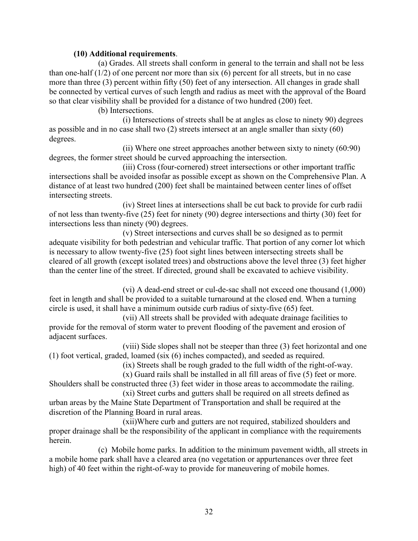## (10) Additional requirements.

(a) Grades. All streets shall conform in general to the terrain and shall not be less than one-half  $(1/2)$  of one percent nor more than six  $(6)$  percent for all streets, but in no case more than three (3) percent within fifty (50) feet of any intersection. All changes in grade shall be connected by vertical curves of such length and radius as meet with the approval of the Board so that clear visibility shall be provided for a distance of two hundred (200) feet.

(b) Intersections.

(i) Intersections of streets shall be at angles as close to ninety 90) degrees as possible and in no case shall two  $(2)$  streets intersect at an angle smaller than sixty  $(60)$ degrees.

(ii) Where one street approaches another between sixty to ninety  $(60.90)$ degrees, the former street should be curved approaching the intersection.

(iii) Cross (four-cornered) street intersections or other important traffic intersections shall be avoided insofar as possible except as shown on the Comprehensive Plan. A distance of at least two hundred (200) feet shall be maintained between center lines of offset intersecting streets.

(iv) Street lines at intersections shall be cut back to provide for curb radii of not less than twenty-five  $(25)$  feet for ninety  $(90)$  degree intersections and thirty  $(30)$  feet for intersections less than ninety (90) degrees.

(v) Street intersections and curves shall be so designed as to permit adequate visibility for both pedestrian and vehicular traffic. That portion of any corner lot which is necessary to allow twenty-five (25) foot sight lines between intersecting streets shall be cleared of all growth (except isolated trees) and obstructions above the level three (3) feet higher than the center line of the street. If directed, ground shall be excavated to achieve visibility.

(vi) A dead-end street or cul-de-sac shall not exceed one thousand (1,000) feet in length and shall be provided to a suitable turnaround at the closed end. When a turning circle is used, it shall have a minimum outside curb radius of sixty-five (65) feet.

(vii) All streets shall be provided with adequate drainage facilities to provide for the removal of storm water to prevent flooding of the pavement and erosion of adiacent surfaces.

(viii) Side slopes shall not be steeper than three (3) feet horizontal and one (1) foot vertical, graded, loamed (six (6) inches compacted), and seeded as required.

(ix) Streets shall be rough graded to the full width of the right-of-way.

 $(x)$  Guard rails shall be installed in all fill areas of five  $(5)$  feet or more. Shoulders shall be constructed three (3) feet wider in those areas to accommodate the railing.

(xi) Street curbs and gutters shall be required on all streets defined as urban areas by the Maine State Department of Transportation and shall be required at the discretion of the Planning Board in rural areas.

(xii)Where curb and gutters are not required, stabilized shoulders and proper drainage shall be the responsibility of the applicant in compliance with the requirements herein

(c) Mobile home parks. In addition to the minimum pavement width, all streets in a mobile home park shall have a cleared area (no vegetation or appurtenances over three feet high) of 40 feet within the right-of-way to provide for maneuvering of mobile homes.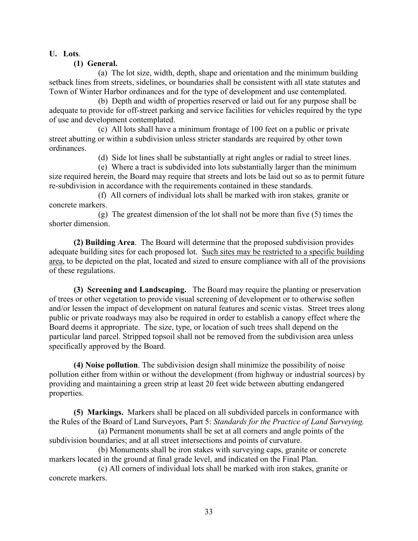## U. Lots.

## (1) General.

(a) The lot size, width, depth, shape and orientation and the minimum building setback lines from streets, sidelines, or boundaries shall be consistent with all state statutes and Town of Winter Harbor ordinances and for the type of development and use contemplated.

(b) Depth and width of properties reserved or laid out for any purpose shall be adequate to provide for off-street parking and service facilities for vehicles required by the type of use and development contemplated.

(c) All lots shall have a minimum frontage of 100 feet on a public or private street abutting or within a subdivision unless stricter standards are required by other town ordinances

(d) Side lot lines shall be substantially at right angles or radial to street lines.

(e) Where a tract is subdivided into lots substantially larger than the minimum size required herein, the Board may require that streets and lots be laid out so as to permit future re-subdivision in accordance with the requirements contained in these standards.

(f) All corners of individual lots shall be marked with iron stakes, granite or concrete markers.

(g) The greatest dimension of the lot shall not be more than five  $(5)$  times the shorter dimension.

(2) Building Area. The Board will determine that the proposed subdivision provides adequate building sites for each proposed lot. Such sites may be restricted to a specific building area, to be depicted on the plat, located and sized to ensure compliance with all of the provisions of these regulations.

(3) Screening and Landscaping. The Board may require the planting or preservation of trees or other vegetation to provide visual screening of development or to otherwise soften and/or lessen the impact of development on natural features and scenic vistas. Street trees along public or private roadways may also be required in order to establish a canopy effect where the Board deems it appropriate. The size, type, or location of such trees shall depend on the particular land parcel. Stripped topsoil shall not be removed from the subdivision area unless specifically approved by the Board.

(4) Noise pollution. The subdivision design shall minimize the possibility of noise pollution either from within or without the development (from highway or industrial sources) by providing and maintaining a green strip at least 20 feet wide between abutting endangered properties.

(5) Markings. Markers shall be placed on all subdivided parcels in conformance with the Rules of the Board of Land Surveyors, Part 5: Standards for the Practice of Land Surveying.

(a) Permanent monuments shall be set at all corners and angle points of the subdivision boundaries; and at all street intersections and points of curvature.

(b) Monuments shall be iron stakes with surveying caps, granite or concrete markers located in the ground at final grade level, and indicated on the Final Plan.

(c) All corners of individual lots shall be marked with iron stakes, granite or concrete markers.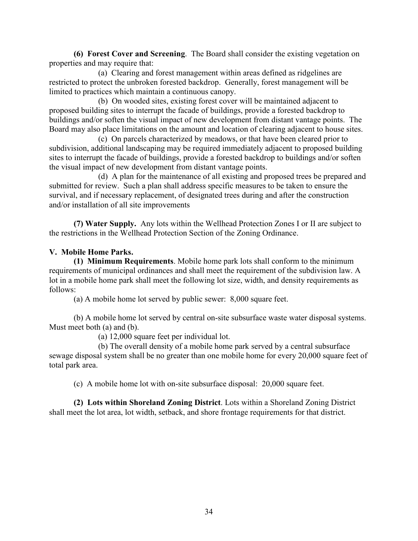(6) Forest Cover and Screening. The Board shall consider the existing vegetation on properties and may require that:

(a) Clearing and forest management within areas defined as ridgelines are restricted to protect the unbroken forested backdrop. Generally, forest management will be limited to practices which maintain a continuous canopy.

(b) On wooded sites, existing forest cover will be maintained adjacent to proposed building sites to interrupt the facade of buildings, provide a forested backdrop to buildings and/or soften the visual impact of new development from distant vantage points. The Board may also place limitations on the amount and location of clearing adjacent to house sites.

(c) On parcels characterized by meadows, or that have been cleared prior to subdivision, additional landscaping may be required immediately adjacent to proposed building sites to interrupt the facade of buildings, provide a forested backdrop to buildings and/or soften the visual impact of new development from distant vantage points.

(d) A plan for the maintenance of all existing and proposed trees be prepared and submitted for review. Such a plan shall address specific measures to be taken to ensure the survival, and if necessary replacement, of designated trees during and after the construction and/or installation of all site improvements

(7) Water Supply. Any lots within the Wellhead Protection Zones I or II are subject to the restrictions in the Wellhead Protection Section of the Zoning Ordinance.

## V. Mobile Home Parks.

(1) Minimum Requirements. Mobile home park lots shall conform to the minimum requirements of municipal ordinances and shall meet the requirement of the subdivision law. A lot in a mobile home park shall meet the following lot size, width, and density requirements as follows:

(a) A mobile home lot served by public sewer: 8,000 square feet.

(b) A mobile home lot served by central on-site subsurface waste water disposal systems. Must meet both (a) and (b).

(a) 12,000 square feet per individual lot.

(b) The overall density of a mobile home park served by a central subsurface sewage disposal system shall be no greater than one mobile home for every 20,000 square feet of total park area.

(c) A mobile home lot with on-site subsurface disposal: 20,000 square feet.

(2) Lots within Shoreland Zoning District. Lots within a Shoreland Zoning District shall meet the lot area, lot width, setback, and shore frontage requirements for that district.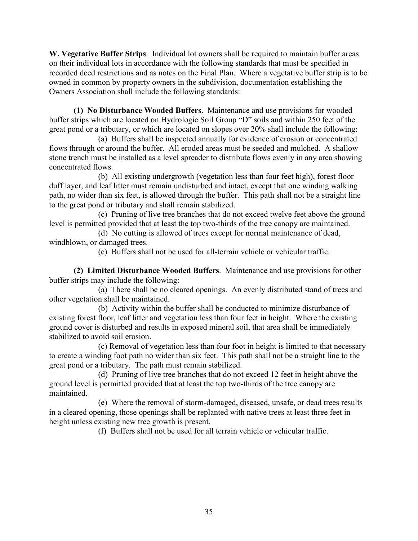W. Vegetative Buffer Strips. Individual lot owners shall be required to maintain buffer areas on their individual lots in accordance with the following standards that must be specified in recorded deed restrictions and as notes on the Final Plan. Where a vegetative buffer strip is to be owned in common by property owners in the subdivision, documentation establishing the Owners Association shall include the following standards:

(1) No Disturbance Wooded Buffers. Maintenance and use provisions for wooded buffer strips which are located on Hydrologic Soil Group "D" soils and within 250 feet of the great pond or a tributary, or which are located on slopes over 20% shall include the following:

(a) Buffers shall be inspected annually for evidence of erosion or concentrated flows through or around the buffer. All eroded areas must be seeded and mulched. A shallow stone trench must be installed as a level spreader to distribute flows evenly in any area showing concentrated flows.

(b) All existing undergrowth (vegetation less than four feet high), forest floor duff layer, and leaf litter must remain undisturbed and intact, except that one winding walking path, no wider than six feet, is allowed through the buffer. This path shall not be a straight line to the great pond or tributary and shall remain stabilized.

(c) Pruning of live tree branches that do not exceed twelve feet above the ground level is permitted provided that at least the top two-thirds of the tree canopy are maintained.

(d) No cutting is allowed of trees except for normal maintenance of dead, windblown, or damaged trees.

(e) Buffers shall not be used for all-terrain vehicle or vehicular traffic.

(2) Limited Disturbance Wooded Buffers. Maintenance and use provisions for other buffer strips may include the following:

(a) There shall be no cleared openings. An evenly distributed stand of trees and other vegetation shall be maintained.

(b) Activity within the buffer shall be conducted to minimize disturbance of existing forest floor, leaf litter and vegetation less than four feet in height. Where the existing ground cover is disturbed and results in exposed mineral soil, that area shall be immediately stabilized to avoid soil erosion.

(c) Removal of vegetation less than four foot in height is limited to that necessary to create a winding foot path no wider than six feet. This path shall not be a straight line to the great pond or a tributary. The path must remain stabilized.

(d) Pruning of live tree branches that do not exceed 12 feet in height above the ground level is permitted provided that at least the top two-thirds of the tree canopy are maintained

(e) Where the removal of storm-damaged, diseased, unsafe, or dead trees results in a cleared opening, those openings shall be replanted with native trees at least three feet in height unless existing new tree growth is present.

(f) Buffers shall not be used for all terrain vehicle or vehicular traffic.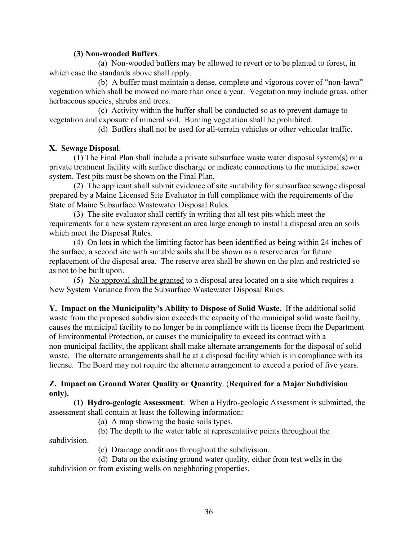## (3) Non-wooded Buffers.

(a) Non-wooded buffers may be allowed to revert or to be planted to forest, in which case the standards above shall apply.

(b) A buffer must maintain a dense, complete and vigorous cover of "non-lawn" vegetation which shall be mowed no more than once a year. Vegetation may include grass, other herbaceous species, shrubs and trees.

(c) Activity within the buffer shall be conducted so as to prevent damage to vegetation and exposure of mineral soil. Burning vegetation shall be prohibited.

(d) Buffers shall not be used for all-terrain vehicles or other vehicular traffic.

## X. Sewage Disposal.

(1) The Final Plan shall include a private subsurface waste water disposal system(s) or a private treatment facility with surface discharge or indicate connections to the municipal sewer system. Test pits must be shown on the Final Plan.

(2) The applicant shall submit evidence of site suitability for subsurface sewage disposal prepared by a Maine Licensed Site Evaluator in full compliance with the requirements of the State of Maine Subsurface Wastewater Disposal Rules.

(3) The site evaluator shall certify in writing that all test pits which meet the requirements for a new system represent an area large enough to install a disposal area on soils which meet the Disposal Rules.

(4) On lots in which the limiting factor has been identified as being within 24 inches of the surface, a second site with suitable soils shall be shown as a reserve area for future replacement of the disposal area. The reserve area shall be shown on the plan and restricted so as not to be built upon.

(5) No approval shall be granted to a disposal area located on a site which requires a New System Variance from the Subsurface Wastewater Disposal Rules.

Y. Impact on the Municipality's Ability to Dispose of Solid Waste. If the additional solid waste from the proposed subdivision exceeds the capacity of the municipal solid waste facility, causes the municipal facility to no longer be in compliance with its license from the Department of Environmental Protection, or causes the municipality to exceed its contract with a non-municipal facility, the applicant shall make alternate arrangements for the disposal of solid waste. The alternate arrangements shall be at a disposal facility which is in compliance with its license. The Board may not require the alternate arrangement to exceed a period of five years.

## Z. Impact on Ground Water Ouality or Ouantity. (Required for a Major Subdivision only).

(1) Hydro-geologic Assessment. When a Hydro-geologic Assessment is submitted, the assessment shall contain at least the following information:

(a) A map showing the basic soils types.

(b) The depth to the water table at representative points throughout the

subdivision.

(c) Drainage conditions throughout the subdivision.

(d) Data on the existing ground water quality, either from test wells in the subdivision or from existing wells on neighboring properties.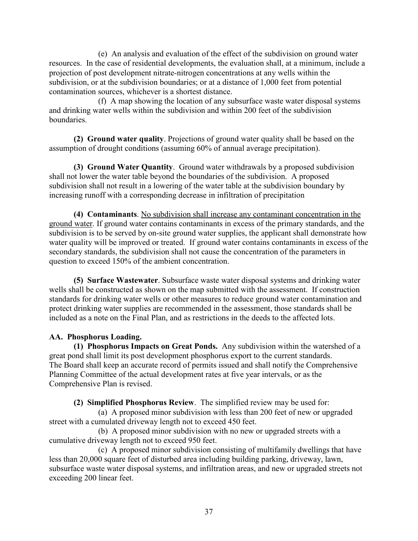(e) An analysis and evaluation of the effect of the subdivision on ground water resources. In the case of residential developments, the evaluation shall, at a minimum, include a projection of post development nitrate-nitrogen concentrations at any wells within the subdivision, or at the subdivision boundaries; or at a distance of 1,000 feet from potential contamination sources, whichever is a shortest distance.

(f) A map showing the location of any subsurface waste water disposal systems and drinking water wells within the subdivision and within 200 feet of the subdivision boundaries.

(2) Ground water quality. Projections of ground water quality shall be based on the assumption of drought conditions (assuming 60% of annual average precipitation).

(3) Ground Water Quantity. Ground water withdrawals by a proposed subdivision shall not lower the water table beyond the boundaries of the subdivision. A proposed subdivision shall not result in a lowering of the water table at the subdivision boundary by increasing runoff with a corresponding decrease in infiltration of precipitation

(4) Contaminants. No subdivision shall increase any contaminant concentration in the ground water. If ground water contains contaminants in excess of the primary standards, and the subdivision is to be served by on-site ground water supplies, the applicant shall demonstrate how water quality will be improved or treated. If ground water contains contaminants in excess of the secondary standards, the subdivision shall not cause the concentration of the parameters in question to exceed 150% of the ambient concentration.

(5) Surface Wastewater. Subsurface waste water disposal systems and drinking water wells shall be constructed as shown on the map submitted with the assessment. If construction standards for drinking water wells or other measures to reduce ground water contamination and protect drinking water supplies are recommended in the assessment, those standards shall be included as a note on the Final Plan, and as restrictions in the deeds to the affected lots.

## AA. Phosphorus Loading.

(1) Phosphorus Impacts on Great Ponds. Any subdivision within the watershed of a great pond shall limit its post development phosphorus export to the current standards. The Board shall keep an accurate record of permits issued and shall notify the Comprehensive Planning Committee of the actual development rates at five year intervals, or as the Comprehensive Plan is revised.

(2) Simplified Phosphorus Review. The simplified review may be used for:

(a) A proposed minor subdivision with less than 200 feet of new or upgraded street with a cumulated driveway length not to exceed 450 feet.

(b) A proposed minor subdivision with no new or upgraded streets with a cumulative driveway length not to exceed 950 feet.

(c) A proposed minor subdivision consisting of multifamily dwellings that have less than 20,000 square feet of disturbed area including building parking, driveway, lawn, subsurface waste water disposal systems, and infiltration areas, and new or upgraded streets not exceeding 200 linear feet.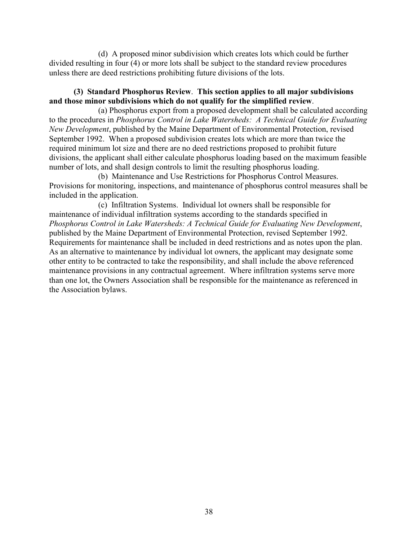(d) A proposed minor subdivision which creates lots which could be further divided resulting in four (4) or more lots shall be subject to the standard review procedures unless there are deed restrictions prohibiting future divisions of the lots.

## (3) Standard Phosphorus Review. This section applies to all major subdivisions and those minor subdivisions which do not qualify for the simplified review.

(a) Phosphorus export from a proposed development shall be calculated according to the procedures in Phosphorus Control in Lake Watersheds: A Technical Guide for Evaluating New Development, published by the Maine Department of Environmental Protection, revised September 1992. When a proposed subdivision creates lots which are more than twice the required minimum lot size and there are no deed restrictions proposed to prohibit future divisions, the applicant shall either calculate phosphorus loading based on the maximum feasible number of lots, and shall design controls to limit the resulting phosphorus loading.

(b) Maintenance and Use Restrictions for Phosphorus Control Measures. Provisions for monitoring, inspections, and maintenance of phosphorus control measures shall be included in the application.

(c) Infiltration Systems. Individual lot owners shall be responsible for maintenance of individual infiltration systems according to the standards specified in Phosphorus Control in Lake Watersheds: A Technical Guide for Evaluating New Development, published by the Maine Department of Environmental Protection, revised September 1992. Requirements for maintenance shall be included in deed restrictions and as notes upon the plan. As an alternative to maintenance by individual lot owners, the applicant may designate some other entity to be contracted to take the responsibility, and shall include the above referenced maintenance provisions in any contractual agreement. Where infiltration systems serve more than one lot, the Owners Association shall be responsible for the maintenance as referenced in the Association bylaws.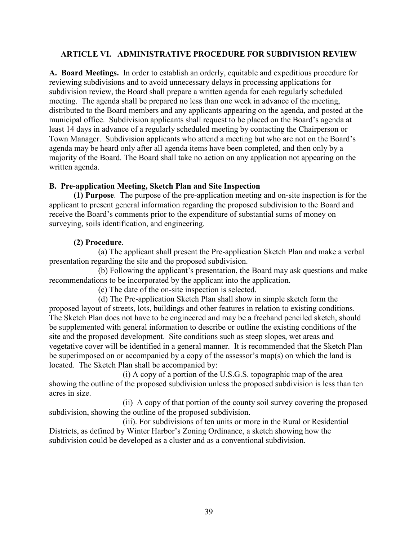## **ARTICLE VI. ADMINISTRATIVE PROCEDURE FOR SUBDIVISION REVIEW**

A. Board Meetings. In order to establish an orderly, equitable and expeditious procedure for reviewing subdivisions and to avoid unnecessary delays in processing applications for subdivision review, the Board shall prepare a written agenda for each regularly scheduled meeting. The agenda shall be prepared no less than one week in advance of the meeting, distributed to the Board members and any applicants appearing on the agenda, and posted at the municipal office. Subdivision applicants shall request to be placed on the Board's agenda at least 14 days in advance of a regularly scheduled meeting by contacting the Chairperson or Town Manager. Subdivision applicants who attend a meeting but who are not on the Board's agenda may be heard only after all agenda items have been completed, and then only by a majority of the Board. The Board shall take no action on any application not appearing on the written agenda.

## B. Pre-application Meeting, Sketch Plan and Site Inspection

(1) Purpose. The purpose of the pre-application meeting and on-site inspection is for the applicant to present general information regarding the proposed subdivision to the Board and receive the Board's comments prior to the expenditure of substantial sums of money on surveying, soils identification, and engineering.

## (2) Procedure.

(a) The applicant shall present the Pre-application Sketch Plan and make a verbal presentation regarding the site and the proposed subdivision.

(b) Following the applicant's presentation, the Board may ask questions and make recommendations to be incorporated by the applicant into the application.

(c) The date of the on-site inspection is selected.

(d) The Pre-application Sketch Plan shall show in simple sketch form the proposed layout of streets, lots, buildings and other features in relation to existing conditions. The Sketch Plan does not have to be engineered and may be a freehand penciled sketch, should be supplemented with general information to describe or outline the existing conditions of the site and the proposed development. Site conditions such as steep slopes, wet areas and vegetative cover will be identified in a general manner. It is recommended that the Sketch Plan be superimposed on or accompanied by a copy of the assessor's map(s) on which the land is located. The Sketch Plan shall be accompanied by:

(i) A copy of a portion of the U.S.G.S. topographic map of the area showing the outline of the proposed subdivision unless the proposed subdivision is less than ten acres in size

(ii) A copy of that portion of the county soil survey covering the proposed subdivision, showing the outline of the proposed subdivision.

(iii). For subdivisions of ten units or more in the Rural or Residential Districts, as defined by Winter Harbor's Zoning Ordinance, a sketch showing how the subdivision could be developed as a cluster and as a conventional subdivision.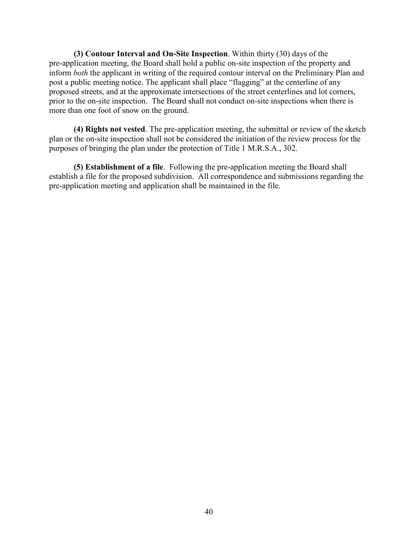(3) Contour Interval and On-Site Inspection. Within thirty (30) days of the pre-application meeting, the Board shall hold a public on-site inspection of the property and inform both the applicant in writing of the required contour interval on the Preliminary Plan and post a public meeting notice. The applicant shall place "flagging" at the centerline of any proposed streets, and at the approximate intersections of the street centerlines and lot corners, prior to the on-site inspection. The Board shall not conduct on-site inspections when there is more than one foot of snow on the ground.

(4) Rights not vested. The pre-application meeting, the submittal or review of the sketch plan or the on-site inspection shall not be considered the initiation of the review process for the purposes of bringing the plan under the protection of Title 1 M.R.S.A., 302.

(5) Establishment of a file. Following the pre-application meeting the Board shall establish a file for the proposed subdivision. All correspondence and submissions regarding the pre-application meeting and application shall be maintained in the file.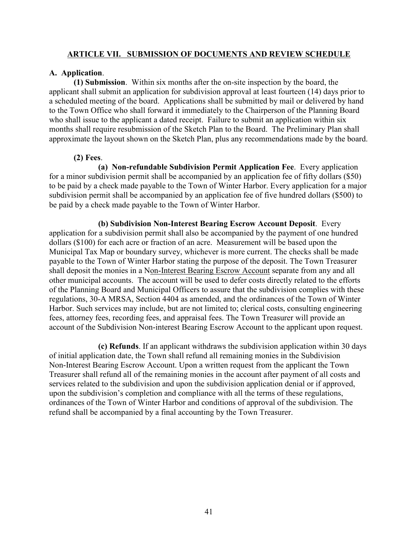#### **ARTICLE VII. SUBMISSION OF DOCUMENTS AND REVIEW SCHEDULE**

#### A. Application.

(1) Submission. Within six months after the on-site inspection by the board, the applicant shall submit an application for subdivision approval at least fourteen (14) days prior to a scheduled meeting of the board. Applications shall be submitted by mail or delivered by hand to the Town Office who shall forward it immediately to the Chairperson of the Planning Board who shall issue to the applicant a dated receipt. Failure to submit an application within six months shall require resubmission of the Sketch Plan to the Board. The Preliminary Plan shall approximate the layout shown on the Sketch Plan, plus any recommendations made by the board.

## $(2)$  Fees.

(a) Non-refundable Subdivision Permit Application Fee. Every application for a minor subdivision permit shall be accompanied by an application fee of fifty dollars (\$50) to be paid by a check made payable to the Town of Winter Harbor. Every application for a major subdivision permit shall be accompanied by an application fee of five hundred dollars (\$500) to be paid by a check made payable to the Town of Winter Harbor.

(b) Subdivision Non-Interest Bearing Escrow Account Deposit. Every application for a subdivision permit shall also be accompanied by the payment of one hundred dollars (\$100) for each acre or fraction of an acre. Measurement will be based upon the Municipal Tax Map or boundary survey, whichever is more current. The checks shall be made payable to the Town of Winter Harbor stating the purpose of the deposit. The Town Treasurer shall deposit the monies in a Non-Interest Bearing Escrow Account separate from any and all other municipal accounts. The account will be used to defer costs directly related to the efforts of the Planning Board and Municipal Officers to assure that the subdivision complies with these regulations, 30-A MRSA, Section 4404 as amended, and the ordinances of the Town of Winter Harbor. Such services may include, but are not limited to; clerical costs, consulting engineering fees, attorney fees, recording fees, and appraisal fees. The Town Treasurer will provide an account of the Subdivision Non-interest Bearing Escrow Account to the applicant upon request.

(c) Refunds. If an applicant withdraws the subdivision application within 30 days of initial application date, the Town shall refund all remaining monies in the Subdivision Non-Interest Bearing Escrow Account. Upon a written request from the applicant the Town Treasurer shall refund all of the remaining monies in the account after payment of all costs and services related to the subdivision and upon the subdivision application denial or if approved. upon the subdivision's completion and compliance with all the terms of these regulations, ordinances of the Town of Winter Harbor and conditions of approval of the subdivision. The refund shall be accompanied by a final accounting by the Town Treasurer.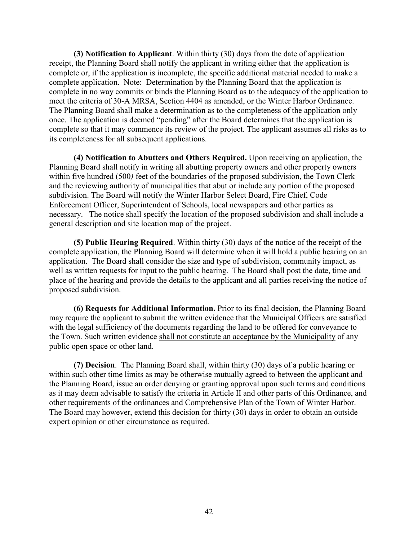(3) Notification to Applicant. Within thirty (30) days from the date of application receipt, the Planning Board shall notify the applicant in writing either that the application is complete or, if the application is incomplete, the specific additional material needed to make a complete application. Note: Determination by the Planning Board that the application is complete in no way commits or binds the Planning Board as to the adequacy of the application to meet the criteria of 30-A MRSA, Section 4404 as amended, or the Winter Harbor Ordinance. The Planning Board shall make a determination as to the completeness of the application only once. The application is deemed "pending" after the Board determines that the application is complete so that it may commence its review of the project. The applicant assumes all risks as to its completeness for all subsequent applications.

(4) Notification to Abutters and Others Required. Upon receiving an application, the Planning Board shall notify in writing all abutting property owners and other property owners within five hundred (500) feet of the boundaries of the proposed subdivision, the Town Clerk and the reviewing authority of municipalities that abut or include any portion of the proposed subdivision. The Board will notify the Winter Harbor Select Board, Fire Chief, Code Enforcement Officer, Superintendent of Schools, local newspapers and other parties as necessary. The notice shall specify the location of the proposed subdivision and shall include a general description and site location map of the project.

(5) Public Hearing Required. Within thirty (30) days of the notice of the receipt of the complete application, the Planning Board will determine when it will hold a public hearing on an application. The Board shall consider the size and type of subdivision, community impact, as well as written requests for input to the public hearing. The Board shall post the date, time and place of the hearing and provide the details to the applicant and all parties receiving the notice of proposed subdivision.

(6) Requests for Additional Information. Prior to its final decision, the Planning Board may require the applicant to submit the written evidence that the Municipal Officers are satisfied with the legal sufficiency of the documents regarding the land to be offered for conveyance to the Town. Such written evidence shall not constitute an acceptance by the Municipality of any public open space or other land.

(7) Decision. The Planning Board shall, within thirty (30) days of a public hearing or within such other time limits as may be otherwise mutually agreed to between the applicant and the Planning Board, issue an order denying or granting approval upon such terms and conditions as it may deem advisable to satisfy the criteria in Article II and other parts of this Ordinance, and other requirements of the ordinances and Comprehensive Plan of the Town of Winter Harbor. The Board may however, extend this decision for thirty (30) days in order to obtain an outside expert opinion or other circumstance as required.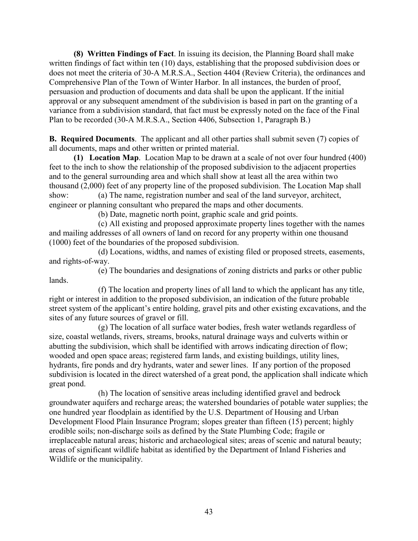(8) Written Findings of Fact. In issuing its decision, the Planning Board shall make written findings of fact within ten (10) days, establishing that the proposed subdivision does or does not meet the criteria of 30-A M.R.S.A., Section 4404 (Review Criteria), the ordinances and Comprehensive Plan of the Town of Winter Harbor. In all instances, the burden of proof, persuasion and production of documents and data shall be upon the applicant. If the initial approval or any subsequent amendment of the subdivision is based in part on the granting of a variance from a subdivision standard, that fact must be expressly noted on the face of the Final Plan to be recorded (30-A M.R.S.A., Section 4406, Subsection 1, Paragraph B.)

**B.** Required Documents. The applicant and all other parties shall submit seven (7) copies of all documents, maps and other written or printed material.

(1) Location Map. Location Map to be drawn at a scale of not over four hundred (400) feet to the inch to show the relationship of the proposed subdivision to the adjacent properties and to the general surrounding area and which shall show at least all the area within two thousand (2,000) feet of any property line of the proposed subdivision. The Location Map shall show: (a) The name, registration number and seal of the land surveyor, architect, engineer or planning consultant who prepared the maps and other documents.

(b) Date, magnetic north point, graphic scale and grid points.

(c) All existing and proposed approximate property lines together with the names and mailing addresses of all owners of land on record for any property within one thousand (1000) feet of the boundaries of the proposed subdivision.

(d) Locations, widths, and names of existing filed or proposed streets, easements, and rights-of-way.

(e) The boundaries and designations of zoning districts and parks or other public lands.

(f) The location and property lines of all land to which the applicant has any title, right or interest in addition to the proposed subdivision, an indication of the future probable street system of the applicant's entire holding, gravel pits and other existing excavations, and the sites of any future sources of gravel or fill.

(g) The location of all surface water bodies, fresh water wetlands regardless of size, coastal wetlands, rivers, streams, brooks, natural drainage ways and culverts within or abutting the subdivision, which shall be identified with arrows indicating direction of flow; wooded and open space areas; registered farm lands, and existing buildings, utility lines, hydrants, fire ponds and dry hydrants, water and sewer lines. If any portion of the proposed subdivision is located in the direct watershed of a great pond, the application shall indicate which great pond.

(h) The location of sensitive areas including identified gravel and bedrock groundwater aquifers and recharge areas; the watershed boundaries of potable water supplies; the one hundred year floodplain as identified by the U.S. Department of Housing and Urban Development Flood Plain Insurance Program: slopes greater than fifteen (15) percent: highly erodible soils; non-discharge soils as defined by the State Plumbing Code; fragile or irreplaceable natural areas; historic and archaeological sites; areas of scenic and natural beauty; areas of significant wildlife habitat as identified by the Department of Inland Fisheries and Wildlife or the municipality.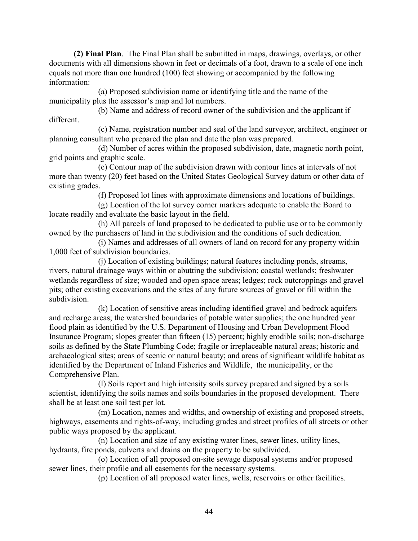(2) Final Plan. The Final Plan shall be submitted in maps, drawings, overlays, or other documents with all dimensions shown in feet or decimals of a foot, drawn to a scale of one inch equals not more than one hundred (100) feet showing or accompanied by the following information:

(a) Proposed subdivision name or identifying title and the name of the municipality plus the assessor's map and lot numbers.

(b) Name and address of record owner of the subdivision and the applicant if different

(c) Name, registration number and seal of the land surveyor, architect, engineer or planning consultant who prepared the plan and date the plan was prepared.

(d) Number of acres within the proposed subdivision, date, magnetic north point, grid points and graphic scale.

(e) Contour map of the subdivision drawn with contour lines at intervals of not more than twenty (20) feet based on the United States Geological Survey datum or other data of existing grades.

(f) Proposed lot lines with approximate dimensions and locations of buildings.

(g) Location of the lot survey corner markers adequate to enable the Board to locate readily and evaluate the basic layout in the field.

(h) All parcels of land proposed to be dedicated to public use or to be commonly owned by the purchasers of land in the subdivision and the conditions of such dedication.

(i) Names and addresses of all owners of land on record for any property within 1,000 feet of subdivision boundaries.

(i) Location of existing buildings; natural features including ponds, streams, rivers, natural drainage ways within or abutting the subdivision; coastal wetlands; freshwater wetlands regardless of size; wooded and open space areas; ledges; rock outcroppings and gravel pits; other existing excavations and the sites of any future sources of gravel or fill within the subdivision

(k) Location of sensitive areas including identified gravel and bedrock aquifers and recharge areas; the watershed boundaries of potable water supplies; the one hundred year flood plain as identified by the U.S. Department of Housing and Urban Development Flood Insurance Program; slopes greater than fifteen (15) percent; highly erodible soils; non-discharge soils as defined by the State Plumbing Code; fragile or irreplaceable natural areas; historic and archaeological sites; areas of scenic or natural beauty; and areas of significant wildlife habitat as identified by the Department of Inland Fisheries and Wildlife, the municipality, or the Comprehensive Plan.

(1) Soils report and high intensity soils survey prepared and signed by a soils scientist, identifying the soils names and soils boundaries in the proposed development. There shall be at least one soil test per lot.

(m) Location, names and widths, and ownership of existing and proposed streets, highways, easements and rights-of-way, including grades and street profiles of all streets or other public ways proposed by the applicant.

(n) Location and size of any existing water lines, sewer lines, utility lines, hydrants, fire ponds, culverts and drains on the property to be subdivided.

(o) Location of all proposed on-site sewage disposal systems and/or proposed sewer lines, their profile and all easements for the necessary systems.

(p) Location of all proposed water lines, wells, reservoirs or other facilities.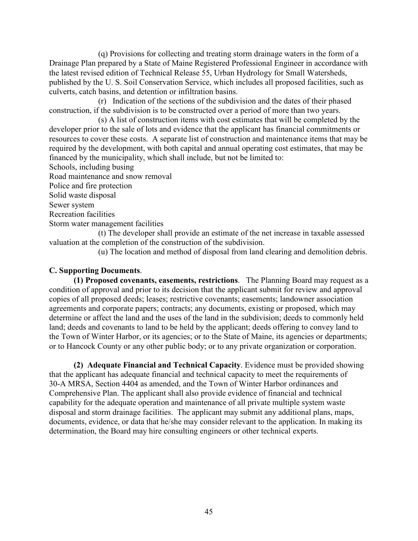(q) Provisions for collecting and treating storm drainage waters in the form of a Drainage Plan prepared by a State of Maine Registered Professional Engineer in accordance with the latest revised edition of Technical Release 55, Urban Hydrology for Small Watersheds, published by the U.S. Soil Conservation Service, which includes all proposed facilities, such as culverts, catch basins, and detention or infiltration basins.

(r) Indication of the sections of the subdivision and the dates of their phased construction, if the subdivision is to be constructed over a period of more than two years.

(s) A list of construction items with cost estimates that will be completed by the developer prior to the sale of lots and evidence that the applicant has financial commitments or resources to cover these costs. A separate list of construction and maintenance items that may be required by the development, with both capital and annual operating cost estimates, that may be financed by the municipality, which shall include, but not be limited to:

Schools, including busing

Road maintenance and snow removal

Police and fire protection

Solid waste disposal

Sewer system

**Recreation facilities** 

Storm water management facilities

(t) The developer shall provide an estimate of the net increase in taxable assessed valuation at the completion of the construction of the subdivision.

(u) The location and method of disposal from land clearing and demolition debris.

## **C. Supporting Documents.**

(1) Proposed covenants, easements, restrictions. The Planning Board may request as a condition of approval and prior to its decision that the applicant submit for review and approval copies of all proposed deeds; leases; restrictive covenants; easements; landowner association agreements and corporate papers; contracts; any documents, existing or proposed, which may determine or affect the land and the uses of the land in the subdivision; deeds to commonly held land; deeds and covenants to land to be held by the applicant; deeds offering to convey land to the Town of Winter Harbor, or its agencies; or to the State of Maine, its agencies or departments; or to Hancock County or any other public body; or to any private organization or corporation.

(2) Adequate Financial and Technical Capacity. Evidence must be provided showing that the applicant has adequate financial and technical capacity to meet the requirements of 30-A MRSA, Section 4404 as amended, and the Town of Winter Harbor ordinances and Comprehensive Plan. The applicant shall also provide evidence of financial and technical capability for the adequate operation and maintenance of all private multiple system waste disposal and storm drainage facilities. The applicant may submit any additional plans, maps, documents, evidence, or data that he/she may consider relevant to the application. In making its determination, the Board may hire consulting engineers or other technical experts.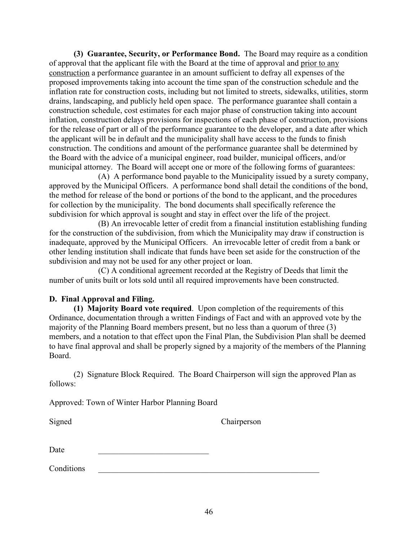(3) Guarantee, Security, or Performance Bond. The Board may require as a condition of approval that the applicant file with the Board at the time of approval and prior to any construction a performance guarantee in an amount sufficient to defray all expenses of the proposed improvements taking into account the time span of the construction schedule and the inflation rate for construction costs, including but not limited to streets, sidewalks, utilities, storm drains, landscaping, and publicly held open space. The performance guarantee shall contain a construction schedule, cost estimates for each major phase of construction taking into account inflation, construction delays provisions for inspections of each phase of construction, provisions for the release of part or all of the performance guarantee to the developer, and a date after which the applicant will be in default and the municipality shall have access to the funds to finish construction. The conditions and amount of the performance guarantee shall be determined by the Board with the advice of a municipal engineer, road builder, municipal officers, and/or municipal attorney. The Board will accept one or more of the following forms of guarantees:

(A) A performance bond payable to the Municipality issued by a surety company, approved by the Municipal Officers. A performance bond shall detail the conditions of the bond, the method for release of the bond or portions of the bond to the applicant, and the procedures for collection by the municipality. The bond documents shall specifically reference the subdivision for which approval is sought and stay in effect over the life of the project.

(B) An irrevocable letter of credit from a financial institution establishing funding for the construction of the subdivision, from which the Municipality may draw if construction is inadequate, approved by the Municipal Officers. An irrevocable letter of credit from a bank or other lending institution shall indicate that funds have been set aside for the construction of the subdivision and may not be used for any other project or loan.

(C) A conditional agreement recorded at the Registry of Deeds that limit the number of units built or lots sold until all required improvements have been constructed.

## D. Final Approval and Filing.

(1) Majority Board vote required. Upon completion of the requirements of this Ordinance, documentation through a written Findings of Fact and with an approved vote by the majority of the Planning Board members present, but no less than a quorum of three (3) members, and a notation to that effect upon the Final Plan, the Subdivision Plan shall be deemed to have final approval and shall be properly signed by a majority of the members of the Planning Board

(2) Signature Block Required. The Board Chairperson will sign the approved Plan as follows:

Approved: Town of Winter Harbor Planning Board

Signed

Chairperson

Conditions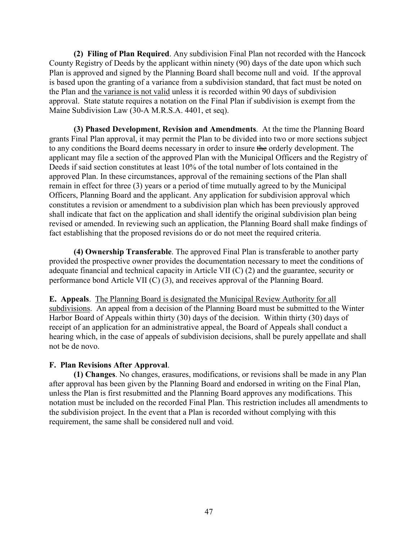(2) Filing of Plan Required. Any subdivision Final Plan not recorded with the Hancock County Registry of Deeds by the applicant within ninety (90) days of the date upon which such Plan is approved and signed by the Planning Board shall become null and void. If the approval is based upon the granting of a variance from a subdivision standard, that fact must be noted on the Plan and the variance is not valid unless it is recorded within 90 days of subdivision approval. State statute requires a notation on the Final Plan if subdivision is exempt from the Maine Subdivision Law (30-A M.R.S.A. 4401, et seq).

(3) Phased Development, Revision and Amendments. At the time the Planning Board grants Final Plan approval, it may permit the Plan to be divided into two or more sections subject to any conditions the Board deems necessary in order to insure the orderly development. The applicant may file a section of the approved Plan with the Municipal Officers and the Registry of Deeds if said section constitutes at least 10% of the total number of lots contained in the approved Plan. In these circumstances, approval of the remaining sections of the Plan shall remain in effect for three (3) years or a period of time mutually agreed to by the Municipal Officers, Planning Board and the applicant. Any application for subdivision approval which constitutes a revision or amendment to a subdivision plan which has been previously approved shall indicate that fact on the application and shall identify the original subdivision plan being revised or amended. In reviewing such an application, the Planning Board shall make findings of fact establishing that the proposed revisions do or do not meet the required criteria.

(4) Ownership Transferable. The approved Final Plan is transferable to another party provided the prospective owner provides the documentation necessary to meet the conditions of adequate financial and technical capacity in Article VII  $(C)$  (2) and the guarantee, security or performance bond Article VII (C) (3), and receives approval of the Planning Board.

**E.** Appeals. The Planning Board is designated the Municipal Review Authority for all subdivisions. An appeal from a decision of the Planning Board must be submitted to the Winter Harbor Board of Appeals within thirty (30) days of the decision. Within thirty (30) days of receipt of an application for an administrative appeal, the Board of Appeals shall conduct a hearing which, in the case of appeals of subdivision decisions, shall be purely appellate and shall not be de novo.

## F. Plan Revisions After Approval.

(1) Changes. No changes, erasures, modifications, or revisions shall be made in any Plan after approval has been given by the Planning Board and endorsed in writing on the Final Plan, unless the Plan is first resubmitted and the Planning Board approves any modifications. This notation must be included on the recorded Final Plan. This restriction includes all amendments to the subdivision project. In the event that a Plan is recorded without complying with this requirement, the same shall be considered null and void.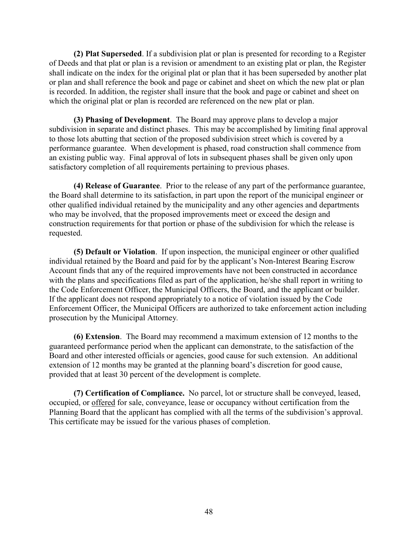(2) Plat Superseded. If a subdivision plat or plan is presented for recording to a Register of Deeds and that plat or plan is a revision or amendment to an existing plat or plan, the Register shall indicate on the index for the original plat or plan that it has been superseded by another plat or plan and shall reference the book and page or cabinet and sheet on which the new plat or plan is recorded. In addition, the register shall insure that the book and page or cabinet and sheet on which the original plat or plan is recorded are referenced on the new plat or plan.

(3) Phasing of Development. The Board may approve plans to develop a major subdivision in separate and distinct phases. This may be accomplished by limiting final approval to those lots abutting that section of the proposed subdivision street which is covered by a performance guarantee. When development is phased, road construction shall commence from an existing public way. Final approval of lots in subsequent phases shall be given only upon satisfactory completion of all requirements pertaining to previous phases.

(4) Release of Guarantee. Prior to the release of any part of the performance guarantee. the Board shall determine to its satisfaction, in part upon the report of the municipal engineer or other qualified individual retained by the municipality and any other agencies and departments who may be involved, that the proposed improvements meet or exceed the design and construction requirements for that portion or phase of the subdivision for which the release is requested.

(5) Default or Violation. If upon inspection, the municipal engineer or other qualified individual retained by the Board and paid for by the applicant's Non-Interest Bearing Escrow Account finds that any of the required improvements have not been constructed in accordance with the plans and specifications filed as part of the application, he/she shall report in writing to the Code Enforcement Officer, the Municipal Officers, the Board, and the applicant or builder. If the applicant does not respond appropriately to a notice of violation issued by the Code Enforcement Officer, the Municipal Officers are authorized to take enforcement action including prosecution by the Municipal Attorney.

(6) Extension. The Board may recommend a maximum extension of 12 months to the guaranteed performance period when the applicant can demonstrate, to the satisfaction of the Board and other interested officials or agencies, good cause for such extension. An additional extension of 12 months may be granted at the planning board's discretion for good cause, provided that at least 30 percent of the development is complete.

(7) Certification of Compliance. No parcel, lot or structure shall be conveyed, leased, occupied, or offered for sale, conveyance, lease or occupancy without certification from the Planning Board that the applicant has complied with all the terms of the subdivision's approval. This certificate may be issued for the various phases of completion.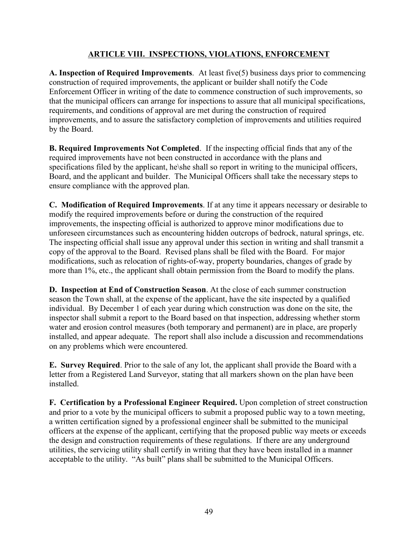# **ARTICLE VIII. INSPECTIONS, VIOLATIONS, ENFORCEMENT**

A. Inspection of Required Improvements. At least five(5) business days prior to commencing construction of required improvements, the applicant or builder shall notify the Code Enforcement Officer in writing of the date to commence construction of such improvements, so that the municipal officers can arrange for inspections to assure that all municipal specifications, requirements, and conditions of approval are met during the construction of required improvements, and to assure the satisfactory completion of improvements and utilities required by the Board.

**B. Required Improvements Not Completed.** If the inspecting official finds that any of the required improvements have not been constructed in accordance with the plans and specifications filed by the applicant, he's shall so report in writing to the municipal officers, Board, and the applicant and builder. The Municipal Officers shall take the necessary steps to ensure compliance with the approved plan.

C. Modification of Required Improvements. If at any time it appears necessary or desirable to modify the required improvements before or during the construction of the required improvements, the inspecting official is authorized to approve minor modifications due to unforeseen circumstances such as encountering hidden outcrops of bedrock, natural springs, etc. The inspecting official shall issue any approval under this section in writing and shall transmit a copy of the approval to the Board. Revised plans shall be filed with the Board. For major modifications, such as relocation of rights-of-way, property boundaries, changes of grade by more than 1%, etc., the applicant shall obtain permission from the Board to modify the plans.

D. Inspection at End of Construction Season. At the close of each summer construction season the Town shall, at the expense of the applicant, have the site inspected by a qualified individual. By December 1 of each year during which construction was done on the site, the inspector shall submit a report to the Board based on that inspection, addressing whether storm water and erosion control measures (both temporary and permanent) are in place, are properly installed, and appear adequate. The report shall also include a discussion and recommendations on any problems which were encountered.

E. Survey Required. Prior to the sale of any lot, the applicant shall provide the Board with a letter from a Registered Land Surveyor, stating that all markers shown on the plan have been installed.

F. Certification by a Professional Engineer Required. Upon completion of street construction and prior to a vote by the municipal officers to submit a proposed public way to a town meeting, a written certification signed by a professional engineer shall be submitted to the municipal officers at the expense of the applicant, certifying that the proposed public way meets or exceeds the design and construction requirements of these regulations. If there are any underground utilities, the servicing utility shall certify in writing that they have been installed in a manner acceptable to the utility. "As built" plans shall be submitted to the Municipal Officers.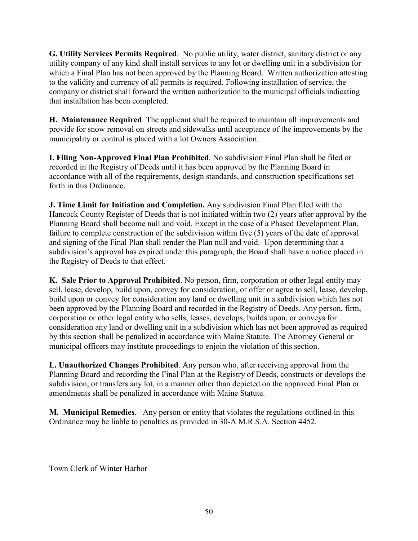G. Utility Services Permits Required. No public utility, water district, sanitary district or any utility company of any kind shall install services to any lot or dwelling unit in a subdivision for which a Final Plan has not been approved by the Planning Board. Written authorization attesting to the validity and currency of all permits is required. Following installation of service, the company or district shall forward the written authorization to the municipal officials indicating that installation has been completed.

H. Maintenance Required. The applicant shall be required to maintain all improvements and provide for snow removal on streets and sidewalks until acceptance of the improvements by the municipality or control is placed with a lot Owners Association.

I. Filing Non-Approved Final Plan Prohibited. No subdivision Final Plan shall be filed or recorded in the Registry of Deeds until it has been approved by the Planning Board in accordance with all of the requirements, design standards, and construction specifications set forth in this Ordinance

**J. Time Limit for Initiation and Completion.** Any subdivision Final Plan filed with the Hancock County Register of Deeds that is not initiated within two (2) years after approval by the Planning Board shall become null and void. Except in the case of a Phased Development Plan, failure to complete construction of the subdivision within five (5) years of the date of approval and signing of the Final Plan shall render the Plan null and void. Upon determining that a subdivision's approval has expired under this paragraph, the Board shall have a notice placed in the Registry of Deeds to that effect.

K. Sale Prior to Approval Prohibited. No person, firm, corporation or other legal entity may sell, lease, develop, build upon, convey for consideration, or offer or agree to sell, lease, develop, build upon or convey for consideration any land or dwelling unit in a subdivision which has not been approved by the Planning Board and recorded in the Registry of Deeds. Any person, firm, corporation or other legal entity who sells, leases, develops, builds upon, or conveys for consideration any land or dwelling unit in a subdivision which has not been approved as required by this section shall be penalized in accordance with Maine Statute. The Attorney General or municipal officers may institute proceedings to enjoin the violation of this section.

L. Unauthorized Changes Prohibited. Any person who, after receiving approval from the Planning Board and recording the Final Plan at the Registry of Deeds, constructs or develops the subdivision, or transfers any lot, in a manner other than depicted on the approved Final Plan or amendments shall be penalized in accordance with Maine Statute.

M. Municipal Remedies. Any person or entity that violates the regulations outlined in this Ordinance may be liable to penalties as provided in 30-A M.R.S.A. Section 4452.

Town Clerk of Winter Harbor